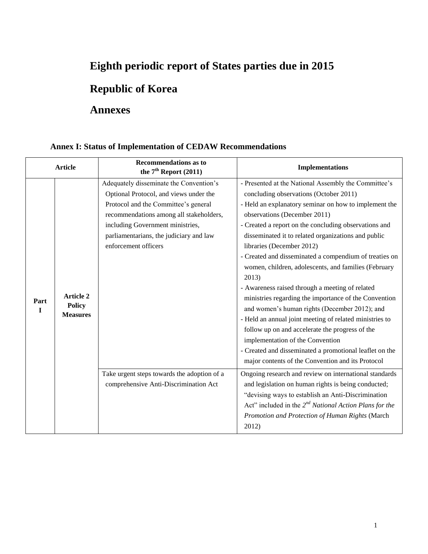# **Eighth periodic report of States parties due in 2015**

# **Republic of Korea**

## **Annexes**

## **Annex I: Status of Implementation of CEDAW Recommendations**

| <b>Article</b> |                                                      | <b>Recommendations as to</b><br>the $7th$ Report (2011)                                                                                                                                                                                                                     | <b>Implementations</b>                                                                                                                                                                                                                                                                                                                                                                                                                                                                                                                                                                                                                                                                                                                                                                                                                                                                         |  |
|----------------|------------------------------------------------------|-----------------------------------------------------------------------------------------------------------------------------------------------------------------------------------------------------------------------------------------------------------------------------|------------------------------------------------------------------------------------------------------------------------------------------------------------------------------------------------------------------------------------------------------------------------------------------------------------------------------------------------------------------------------------------------------------------------------------------------------------------------------------------------------------------------------------------------------------------------------------------------------------------------------------------------------------------------------------------------------------------------------------------------------------------------------------------------------------------------------------------------------------------------------------------------|--|
| Part<br>T      | <b>Article 2</b><br><b>Policy</b><br><b>Measures</b> | Adequately disseminate the Convention's<br>Optional Protocol, and views under the<br>Protocol and the Committee's general<br>recommendations among all stakeholders,<br>including Government ministries,<br>parliamentarians, the judiciary and law<br>enforcement officers | - Presented at the National Assembly the Committee's<br>concluding observations (October 2011)<br>- Held an explanatory seminar on how to implement the<br>observations (December 2011)<br>- Created a report on the concluding observations and<br>disseminated it to related organizations and public<br>libraries (December 2012)<br>- Created and disseminated a compendium of treaties on<br>women, children, adolescents, and families (February<br>2013)<br>- Awareness raised through a meeting of related<br>ministries regarding the importance of the Convention<br>and women's human rights (December 2012); and<br>- Held an annual joint meeting of related ministries to<br>follow up on and accelerate the progress of the<br>implementation of the Convention<br>- Created and disseminated a promotional leaflet on the<br>major contents of the Convention and its Protocol |  |
|                |                                                      | Take urgent steps towards the adoption of a<br>comprehensive Anti-Discrimination Act                                                                                                                                                                                        | Ongoing research and review on international standards<br>and legislation on human rights is being conducted;<br>"devising ways to establish an Anti-Discrimination<br>Act" included in the $2^{nd}$ National Action Plans for the<br>Promotion and Protection of Human Rights (March<br>2012)                                                                                                                                                                                                                                                                                                                                                                                                                                                                                                                                                                                                 |  |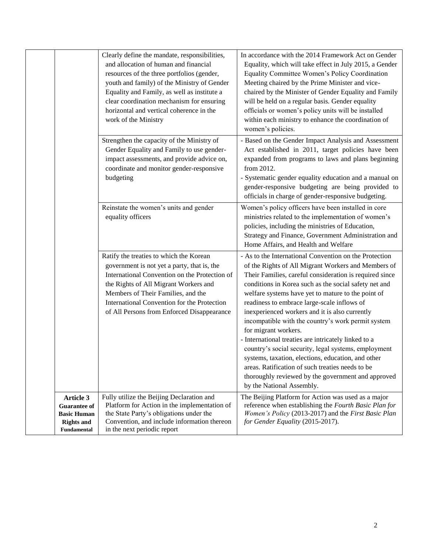|                                                                                                   | Clearly define the mandate, responsibilities,<br>and allocation of human and financial<br>resources of the three portfolios (gender,<br>youth and family) of the Ministry of Gender<br>Equality and Family, as well as institute a<br>clear coordination mechanism for ensuring<br>horizontal and vertical coherence in the<br>work of the Ministry | In accordance with the 2014 Framework Act on Gender<br>Equality, which will take effect in July 2015, a Gender<br>Equality Committee Women's Policy Coordination<br>Meeting chaired by the Prime Minister and vice-<br>chaired by the Minister of Gender Equality and Family<br>will be held on a regular basis. Gender equality<br>officials or women's policy units will be installed<br>within each ministry to enhance the coordination of<br>women's policies.                                                                                                                                                                                                                                                                                                                 |
|---------------------------------------------------------------------------------------------------|-----------------------------------------------------------------------------------------------------------------------------------------------------------------------------------------------------------------------------------------------------------------------------------------------------------------------------------------------------|-------------------------------------------------------------------------------------------------------------------------------------------------------------------------------------------------------------------------------------------------------------------------------------------------------------------------------------------------------------------------------------------------------------------------------------------------------------------------------------------------------------------------------------------------------------------------------------------------------------------------------------------------------------------------------------------------------------------------------------------------------------------------------------|
|                                                                                                   | Strengthen the capacity of the Ministry of<br>Gender Equality and Family to use gender-<br>impact assessments, and provide advice on,<br>coordinate and monitor gender-responsive<br>budgeting                                                                                                                                                      | - Based on the Gender Impact Analysis and Assessment<br>Act established in 2011, target policies have been<br>expanded from programs to laws and plans beginning<br>from 2012.<br>- Systematic gender equality education and a manual on<br>gender-responsive budgeting are being provided to<br>officials in charge of gender-responsive budgeting.                                                                                                                                                                                                                                                                                                                                                                                                                                |
|                                                                                                   | Reinstate the women's units and gender<br>equality officers                                                                                                                                                                                                                                                                                         | Women's policy officers have been installed in core<br>ministries related to the implementation of women's<br>policies, including the ministries of Education,<br>Strategy and Finance, Government Administration and<br>Home Affairs, and Health and Welfare                                                                                                                                                                                                                                                                                                                                                                                                                                                                                                                       |
|                                                                                                   | Ratify the treaties to which the Korean<br>government is not yet a party, that is, the<br>International Convention on the Protection of<br>the Rights of All Migrant Workers and<br>Members of Their Families, and the<br>International Convention for the Protection<br>of All Persons from Enforced Disappearance                                 | - As to the International Convention on the Protection<br>of the Rights of All Migrant Workers and Members of<br>Their Families, careful consideration is required since<br>conditions in Korea such as the social safety net and<br>welfare systems have yet to mature to the point of<br>readiness to embrace large-scale inflows of<br>inexperienced workers and it is also currently<br>incompatible with the country's work permit system<br>for migrant workers.<br>- International treaties are intricately linked to a<br>country's social security, legal systems, employment<br>systems, taxation, elections, education, and other<br>areas. Ratification of such treaties needs to be<br>thoroughly reviewed by the government and approved<br>by the National Assembly. |
| Article 3<br><b>Guarantee of</b><br><b>Basic Human</b><br><b>Rights and</b><br><b>Fundamental</b> | Fully utilize the Beijing Declaration and<br>Platform for Action in the implementation of<br>the State Party's obligations under the<br>Convention, and include information thereon<br>in the next periodic report                                                                                                                                  | The Beijing Platform for Action was used as a major<br>reference when establishing the Fourth Basic Plan for<br>Women's Policy (2013-2017) and the First Basic Plan<br>for Gender Equality (2015-2017).                                                                                                                                                                                                                                                                                                                                                                                                                                                                                                                                                                             |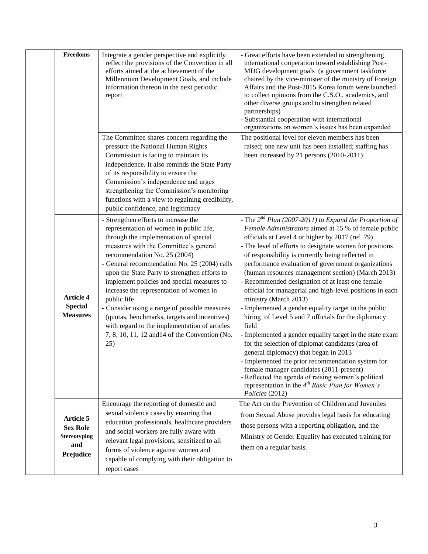| <b>Freedoms</b>                                                                | Integrate a gender perspective and explicitly<br>reflect the provisions of the Convention in all<br>efforts aimed at the achievement of the<br>Millennium Development Goals, and include<br>information thereon in the next periodic<br>report                                                                                                                                                                                                                                                                                                                                                                        | - Great efforts have been extended to strengthening<br>international cooperation toward establishing Post-<br>MDG development goals (a government taskforce<br>chaired by the vice-minister of the ministry of Foreign<br>Affairs and the Post-2015 Korea forum were launched<br>to collect opinions from the C.S.O., academics, and<br>other diverse groups and to strengthen related<br>partnerships)<br>- Substantial cooperation with international<br>organizations on women's issues has been expanded                                                                                                                                                                                                                                                                                                                                                                                                                                                                                                                                                      |
|--------------------------------------------------------------------------------|-----------------------------------------------------------------------------------------------------------------------------------------------------------------------------------------------------------------------------------------------------------------------------------------------------------------------------------------------------------------------------------------------------------------------------------------------------------------------------------------------------------------------------------------------------------------------------------------------------------------------|-------------------------------------------------------------------------------------------------------------------------------------------------------------------------------------------------------------------------------------------------------------------------------------------------------------------------------------------------------------------------------------------------------------------------------------------------------------------------------------------------------------------------------------------------------------------------------------------------------------------------------------------------------------------------------------------------------------------------------------------------------------------------------------------------------------------------------------------------------------------------------------------------------------------------------------------------------------------------------------------------------------------------------------------------------------------|
|                                                                                | The Committee shares concern regarding the<br>pressure the National Human Rights<br>Commission is facing to maintain its<br>independence. It also reminds the State Party<br>of its responsibility to ensure the<br>Commission's independence and urges<br>strengthening the Commission's monitoring<br>functions with a view to regaining credibility,<br>public confidence, and legitimacy                                                                                                                                                                                                                          | The positional level for eleven members has been<br>raised; one new unit has been installed; staffing has<br>been increased by 21 persons (2010-2011)                                                                                                                                                                                                                                                                                                                                                                                                                                                                                                                                                                                                                                                                                                                                                                                                                                                                                                             |
| <b>Article 4</b><br><b>Special</b><br><b>Measures</b>                          | - Strengthen efforts to increase the<br>representation of women in public life,<br>through the implementation of special<br>measures with the Committee's general<br>recommendation No. 25 (2004)<br>- General recommendation No. 25 (2004) calls<br>upon the State Party to strengthen efforts to<br>implement policies and special measures to<br>increase the representation of women in<br>public life<br>- Consider using a range of possible measures<br>(quotas, benchmarks, targets and incentives)<br>with regard to the implementation of articles<br>7, 8, 10, 11, 12 and 14 of the Convention (No.<br>25) | - The $2^{nd}$ Plan (2007-2011) to Expand the Proportion of<br>Female Administrators aimed at 15 % of female public<br>officials at Level 4 or higher by 2017 (ref. 79)<br>- The level of efforts to designate women for positions<br>of responsibility is currently being reflected in<br>performance evaluation of government organizations<br>(human resources management section) (March 2013)<br>- Recommended designation of at least one female<br>official for managerial and high-level positions in each<br>ministry (March 2013)<br>- Implemented a gender equality target in the public<br>hiring of Level 5 and 7 officials for the diplomacy<br>field<br>- Implemented a gender equality target in the state exam<br>for the selection of diplomat candidates (area of<br>general diplomacy) that began in 2013<br>- Implemented the prior recommendation system for<br>female manager candidates (2011-present)<br>- Reflected the agenda of raising women's political<br>representation in the $4^{th}$ Basic Plan for Women's<br>Policies (2012) |
| <b>Article 5</b><br><b>Sex Role</b><br><b>Stereotyping</b><br>and<br>Prejudice | Encourage the reporting of domestic and<br>sexual violence cases by ensuring that<br>education professionals, healthcare providers<br>and social workers are fully aware with<br>relevant legal provisions, sensitized to all<br>forms of violence against women and<br>capable of complying with their obligation to<br>report cases                                                                                                                                                                                                                                                                                 | The Act on the Prevention of Children and Juveniles<br>from Sexual Abuse provides legal basis for educating<br>those persons with a reporting obligation, and the<br>Ministry of Gender Equality has executed training for<br>them on a regular basis.                                                                                                                                                                                                                                                                                                                                                                                                                                                                                                                                                                                                                                                                                                                                                                                                            |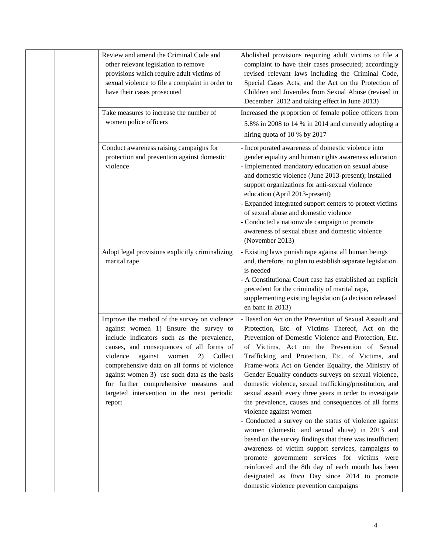| Review and amend the Criminal Code and<br>other relevant legislation to remove<br>provisions which require adult victims of<br>sexual violence to file a complaint in order to<br>have their cases prosecuted<br>Take measures to increase the number of<br>women police officers                                                                                                                                                | Abolished provisions requiring adult victims to file a<br>complaint to have their cases prosecuted; accordingly<br>revised relevant laws including the Criminal Code,<br>Special Cases Acts, and the Act on the Protection of<br>Children and Juveniles from Sexual Abuse (revised in<br>December 2012 and taking effect in June 2013)<br>Increased the proportion of female police officers from<br>5.8% in 2008 to 14 % in 2014 and currently adopting a<br>hiring quota of 10 % by 2017                                                                                                                                                                                                                                                                                                                                                                                                                                                                                                                                     |
|----------------------------------------------------------------------------------------------------------------------------------------------------------------------------------------------------------------------------------------------------------------------------------------------------------------------------------------------------------------------------------------------------------------------------------|--------------------------------------------------------------------------------------------------------------------------------------------------------------------------------------------------------------------------------------------------------------------------------------------------------------------------------------------------------------------------------------------------------------------------------------------------------------------------------------------------------------------------------------------------------------------------------------------------------------------------------------------------------------------------------------------------------------------------------------------------------------------------------------------------------------------------------------------------------------------------------------------------------------------------------------------------------------------------------------------------------------------------------|
| Conduct awareness raising campaigns for<br>protection and prevention against domestic<br>violence                                                                                                                                                                                                                                                                                                                                | - Incorporated awareness of domestic violence into<br>gender equality and human rights awareness education<br>- Implemented mandatory education on sexual abuse<br>and domestic violence (June 2013-present); installed<br>support organizations for anti-sexual violence<br>education (April 2013-present)<br>- Expanded integrated support centers to protect victims<br>of sexual abuse and domestic violence<br>- Conducted a nationwide campaign to promote<br>awareness of sexual abuse and domestic violence<br>(November 2013)                                                                                                                                                                                                                                                                                                                                                                                                                                                                                         |
| Adopt legal provisions explicitly criminalizing<br>marital rape                                                                                                                                                                                                                                                                                                                                                                  | - Existing laws punish rape against all human beings<br>and, therefore, no plan to establish separate legislation<br>is needed<br>- A Constitutional Court case has established an explicit<br>precedent for the criminality of marital rape,<br>supplementing existing legislation (a decision released<br>en banc in 2013)                                                                                                                                                                                                                                                                                                                                                                                                                                                                                                                                                                                                                                                                                                   |
| Improve the method of the survey on violence<br>against women 1) Ensure the survey to<br>include indicators such as the prevalence,<br>causes, and consequences of all forms of<br>violence<br>against<br>2)<br>Collect<br>women<br>comprehensive data on all forms of violence<br>against women 3) use such data as the basis<br>for further comprehensive measures and<br>targeted intervention in the next periodic<br>report | - Based on Act on the Prevention of Sexual Assault and<br>Protection, Etc. of Victims Thereof, Act on the<br>Prevention of Domestic Violence and Protection, Etc.<br>of Victims, Act on the Prevention of Sexual<br>Trafficking and Protection, Etc. of Victims, and<br>Frame-work Act on Gender Equality, the Ministry of<br>Gender Equality conducts surveys on sexual violence,<br>domestic violence, sexual trafficking/prostitution, and<br>sexual assault every three years in order to investigate<br>the prevalence, causes and consequences of all forms<br>violence against women<br>- Conducted a survey on the status of violence against<br>women (domestic and sexual abuse) in 2013 and<br>based on the survey findings that there was insufficient<br>awareness of victim support services, campaigns to<br>promote government services for victims were<br>reinforced and the 8th day of each month has been<br>designated as <i>Bora</i> Day since 2014 to promote<br>domestic violence prevention campaigns |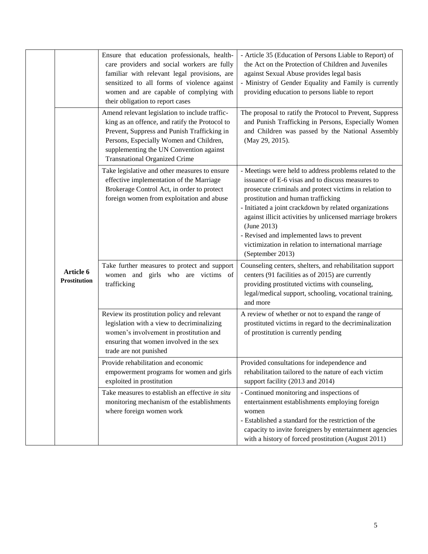|                                  | Ensure that education professionals, health-<br>care providers and social workers are fully<br>familiar with relevant legal provisions, are<br>sensitized to all forms of violence against<br>women and are capable of complying with<br>their obligation to report cases     | - Article 35 (Education of Persons Liable to Report) of<br>the Act on the Protection of Children and Juveniles<br>against Sexual Abuse provides legal basis<br>- Ministry of Gender Equality and Family is currently<br>providing education to persons liable to report                                                                                                                                                                                                   |
|----------------------------------|-------------------------------------------------------------------------------------------------------------------------------------------------------------------------------------------------------------------------------------------------------------------------------|---------------------------------------------------------------------------------------------------------------------------------------------------------------------------------------------------------------------------------------------------------------------------------------------------------------------------------------------------------------------------------------------------------------------------------------------------------------------------|
| Article 6<br><b>Prostitution</b> | Amend relevant legislation to include traffic-<br>king as an offence, and ratify the Protocol to<br>Prevent, Suppress and Punish Trafficking in<br>Persons, Especially Women and Children,<br>supplementing the UN Convention against<br><b>Transnational Organized Crime</b> | The proposal to ratify the Protocol to Prevent, Suppress<br>and Punish Trafficking in Persons, Especially Women<br>and Children was passed by the National Assembly<br>(May 29, 2015).                                                                                                                                                                                                                                                                                    |
|                                  | Take legislative and other measures to ensure<br>effective implementation of the Marriage<br>Brokerage Control Act, in order to protect<br>foreign women from exploitation and abuse                                                                                          | - Meetings were held to address problems related to the<br>issuance of E-6 visas and to discuss measures to<br>prosecute criminals and protect victims in relation to<br>prostitution and human trafficking<br>- Initiated a joint crackdown by related organizations<br>against illicit activities by unlicensed marriage brokers<br>(June 2013)<br>- Revised and implemented laws to prevent<br>victimization in relation to international marriage<br>(September 2013) |
|                                  | Take further measures to protect and support<br>women and girls who are victims of<br>trafficking                                                                                                                                                                             | Counseling centers, shelters, and rehabilitation support<br>centers (91 facilities as of 2015) are currently<br>providing prostituted victims with counseling,<br>legal/medical support, schooling, vocational training,<br>and more                                                                                                                                                                                                                                      |
|                                  | Review its prostitution policy and relevant<br>legislation with a view to decriminalizing<br>women's involvement in prostitution and<br>ensuring that women involved in the sex<br>trade are not punished                                                                     | A review of whether or not to expand the range of<br>prostituted victims in regard to the decriminalization<br>of prostitution is currently pending                                                                                                                                                                                                                                                                                                                       |
|                                  | Provide rehabilitation and economic<br>empowerment programs for women and girls<br>exploited in prostitution                                                                                                                                                                  | Provided consultations for independence and<br>rehabilitation tailored to the nature of each victim<br>support facility (2013 and 2014)                                                                                                                                                                                                                                                                                                                                   |
|                                  | Take measures to establish an effective in situ<br>monitoring mechanism of the establishments<br>where foreign women work                                                                                                                                                     | - Continued monitoring and inspections of<br>entertainment establishments employing foreign<br>women<br>- Established a standard for the restriction of the<br>capacity to invite foreigners by entertainment agencies<br>with a history of forced prostitution (August 2011)                                                                                                                                                                                             |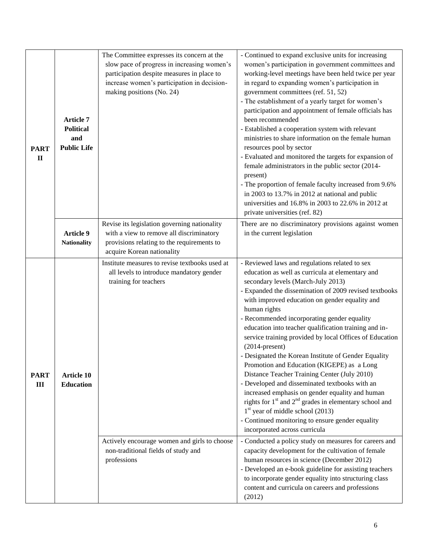| <b>PART</b><br>$\mathbf{I}$ | slow pace of progress in increasing women's<br>participation despite measures in place to<br>increase women's participation in decision-<br>making positions (No. 24)<br><b>Article 7</b><br><b>Political</b><br>and<br><b>Public Life</b>          |                                                                                                                                                                      | - Continued to expand exclusive units for increasing<br>women's participation in government committees and<br>working-level meetings have been held twice per year<br>in regard to expanding women's participation in<br>government committees (ref. 51, 52)<br>- The establishment of a yearly target for women's<br>participation and appointment of female officials has<br>been recommended<br>- Established a cooperation system with relevant<br>ministries to share information on the female human<br>resources pool by sector<br>- Evaluated and monitored the targets for expansion of<br>female administrators in the public sector (2014-<br>present)<br>- The proportion of female faculty increased from 9.6%<br>in 2003 to 13.7% in 2012 at national and public<br>universities and 16.8% in 2003 to 22.6% in 2012 at<br>private universities (ref. 82)                                                                                                                                                                               |  |
|-----------------------------|-----------------------------------------------------------------------------------------------------------------------------------------------------------------------------------------------------------------------------------------------------|----------------------------------------------------------------------------------------------------------------------------------------------------------------------|------------------------------------------------------------------------------------------------------------------------------------------------------------------------------------------------------------------------------------------------------------------------------------------------------------------------------------------------------------------------------------------------------------------------------------------------------------------------------------------------------------------------------------------------------------------------------------------------------------------------------------------------------------------------------------------------------------------------------------------------------------------------------------------------------------------------------------------------------------------------------------------------------------------------------------------------------------------------------------------------------------------------------------------------------|--|
|                             | <b>Article 9</b><br><b>Nationality</b>                                                                                                                                                                                                              | Revise its legislation governing nationality<br>with a view to remove all discriminatory<br>provisions relating to the requirements to<br>acquire Korean nationality | There are no discriminatory provisions against women<br>in the current legislation                                                                                                                                                                                                                                                                                                                                                                                                                                                                                                                                                                                                                                                                                                                                                                                                                                                                                                                                                                   |  |
| <b>PART</b><br>III          | Institute measures to revise textbooks used at<br>all levels to introduce mandatory gender<br>training for teachers<br><b>Article 10</b><br><b>Education</b><br>Actively encourage women and girls to choose<br>non-traditional fields of study and |                                                                                                                                                                      | - Reviewed laws and regulations related to sex<br>education as well as curricula at elementary and<br>secondary levels (March-July 2013)<br>- Expanded the dissemination of 2009 revised textbooks<br>with improved education on gender equality and<br>human rights<br>- Recommended incorporating gender equality<br>education into teacher qualification training and in-<br>service training provided by local Offices of Education<br>$(2014$ -present)<br>- Designated the Korean Institute of Gender Equality<br>Promotion and Education (KIGEPE) as a Long<br>Distance Teacher Training Center (July 2010)<br>- Developed and disseminated textbooks with an<br>increased emphasis on gender equality and human<br>rights for 1 <sup>st</sup> and 2 <sup>nd</sup> grades in elementary school and<br>$1st$ year of middle school (2013)<br>- Continued monitoring to ensure gender equality<br>incorporated across curricula<br>- Conducted a policy study on measures for careers and<br>capacity development for the cultivation of female |  |
|                             |                                                                                                                                                                                                                                                     | professions                                                                                                                                                          | human resources in science (December 2012)<br>- Developed an e-book guideline for assisting teachers<br>to incorporate gender equality into structuring class<br>content and curricula on careers and professions<br>(2012)                                                                                                                                                                                                                                                                                                                                                                                                                                                                                                                                                                                                                                                                                                                                                                                                                          |  |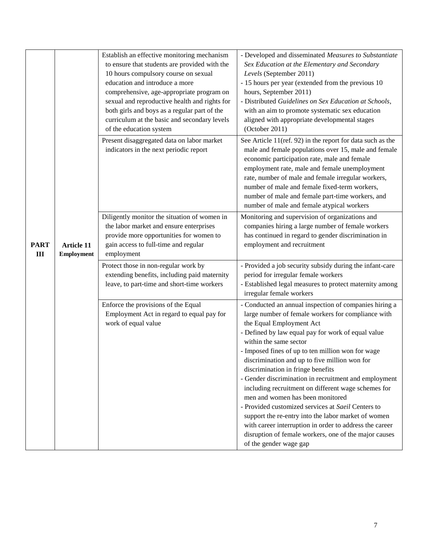| <b>PART</b><br>III | <b>Article 11</b><br>Employment | Establish an effective monitoring mechanism<br>to ensure that students are provided with the<br>10 hours compulsory course on sexual<br>education and introduce a more<br>comprehensive, age-appropriate program on<br>sexual and reproductive health and rights for<br>both girls and boys as a regular part of the<br>curriculum at the basic and secondary levels<br>of the education system | - Developed and disseminated Measures to Substantiate<br>Sex Education at the Elementary and Secondary<br>Levels (September 2011)<br>- 15 hours per year (extended from the previous 10<br>hours, September 2011)<br>- Distributed Guidelines on Sex Education at Schools,<br>with an aim to promote systematic sex education<br>aligned with appropriate developmental stages<br>(October 2011)                                                                                                                                                                                                                                                                                                                                                                                   |
|--------------------|---------------------------------|-------------------------------------------------------------------------------------------------------------------------------------------------------------------------------------------------------------------------------------------------------------------------------------------------------------------------------------------------------------------------------------------------|------------------------------------------------------------------------------------------------------------------------------------------------------------------------------------------------------------------------------------------------------------------------------------------------------------------------------------------------------------------------------------------------------------------------------------------------------------------------------------------------------------------------------------------------------------------------------------------------------------------------------------------------------------------------------------------------------------------------------------------------------------------------------------|
|                    |                                 | Present disaggregated data on labor market<br>indicators in the next periodic report                                                                                                                                                                                                                                                                                                            | See Article 11(ref. 92) in the report for data such as the<br>male and female populations over 15, male and female<br>economic participation rate, male and female<br>employment rate, male and female unemployment<br>rate, number of male and female irregular workers,<br>number of male and female fixed-term workers,<br>number of male and female part-time workers, and<br>number of male and female atypical workers                                                                                                                                                                                                                                                                                                                                                       |
|                    |                                 | Diligently monitor the situation of women in<br>the labor market and ensure enterprises<br>provide more opportunities for women to<br>gain access to full-time and regular<br>employment                                                                                                                                                                                                        | Monitoring and supervision of organizations and<br>companies hiring a large number of female workers<br>has continued in regard to gender discrimination in<br>employment and recruitment                                                                                                                                                                                                                                                                                                                                                                                                                                                                                                                                                                                          |
|                    |                                 | Protect those in non-regular work by<br>extending benefits, including paid maternity<br>leave, to part-time and short-time workers                                                                                                                                                                                                                                                              | - Provided a job security subsidy during the infant-care<br>period for irregular female workers<br>- Established legal measures to protect maternity among<br>irregular female workers                                                                                                                                                                                                                                                                                                                                                                                                                                                                                                                                                                                             |
|                    |                                 | Enforce the provisions of the Equal<br>Employment Act in regard to equal pay for<br>work of equal value                                                                                                                                                                                                                                                                                         | - Conducted an annual inspection of companies hiring a<br>large number of female workers for compliance with<br>the Equal Employment Act<br>- Defined by law equal pay for work of equal value<br>within the same sector<br>- Imposed fines of up to ten million won for wage<br>discrimination and up to five million won for<br>discrimination in fringe benefits<br>- Gender discrimination in recruitment and employment<br>including recruitment on different wage schemes for<br>men and women has been monitored<br>- Provided customized services at Saeil Centers to<br>support the re-entry into the labor market of women<br>with career interruption in order to address the career<br>disruption of female workers, one of the major causes<br>of the gender wage gap |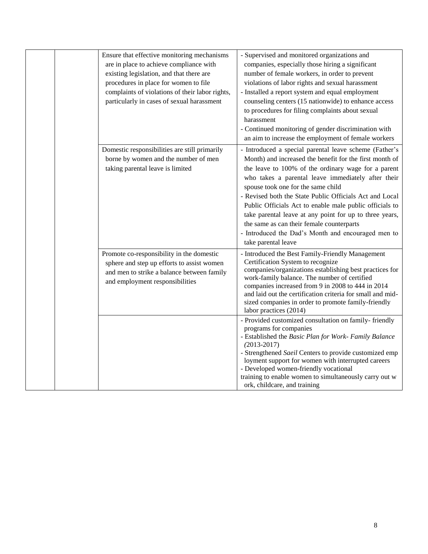| Ensure that effective monitoring mechanisms<br>are in place to achieve compliance with<br>existing legislation, and that there are<br>procedures in place for women to file<br>complaints of violations of their labor rights,<br>particularly in cases of sexual harassment | - Supervised and monitored organizations and<br>companies, especially those hiring a significant<br>number of female workers, in order to prevent<br>violations of labor rights and sexual harassment<br>- Installed a report system and equal employment<br>counseling centers (15 nationwide) to enhance access<br>to procedures for filing complaints about sexual<br>harassment<br>- Continued monitoring of gender discrimination with<br>an aim to increase the employment of female workers                                                                              |
|------------------------------------------------------------------------------------------------------------------------------------------------------------------------------------------------------------------------------------------------------------------------------|---------------------------------------------------------------------------------------------------------------------------------------------------------------------------------------------------------------------------------------------------------------------------------------------------------------------------------------------------------------------------------------------------------------------------------------------------------------------------------------------------------------------------------------------------------------------------------|
| Domestic responsibilities are still primarily<br>borne by women and the number of men<br>taking parental leave is limited                                                                                                                                                    | - Introduced a special parental leave scheme (Father's<br>Month) and increased the benefit for the first month of<br>the leave to 100% of the ordinary wage for a parent<br>who takes a parental leave immediately after their<br>spouse took one for the same child<br>- Revised both the State Public Officials Act and Local<br>Public Officials Act to enable male public officials to<br>take parental leave at any point for up to three years,<br>the same as can their female counterparts<br>- Introduced the Dad's Month and encouraged men to<br>take parental leave |
| Promote co-responsibility in the domestic<br>sphere and step up efforts to assist women<br>and men to strike a balance between family<br>and employment responsibilities                                                                                                     | - Introduced the Best Family-Friendly Management<br>Certification System to recognize<br>companies/organizations establishing best practices for<br>work-family balance. The number of certified<br>companies increased from 9 in 2008 to 444 in 2014<br>and laid out the certification criteria for small and mid-<br>sized companies in order to promote family-friendly<br>labor practices (2014)                                                                                                                                                                            |
|                                                                                                                                                                                                                                                                              | - Provided customized consultation on family-friendly<br>programs for companies<br>- Established the Basic Plan for Work- Family Balance<br>$(2013 - 2017)$<br>- Strengthened Saeil Centers to provide customized emp<br>loyment support for women with interrupted careers<br>- Developed women-friendly vocational<br>training to enable women to simultaneously carry out w<br>ork, childcare, and training                                                                                                                                                                  |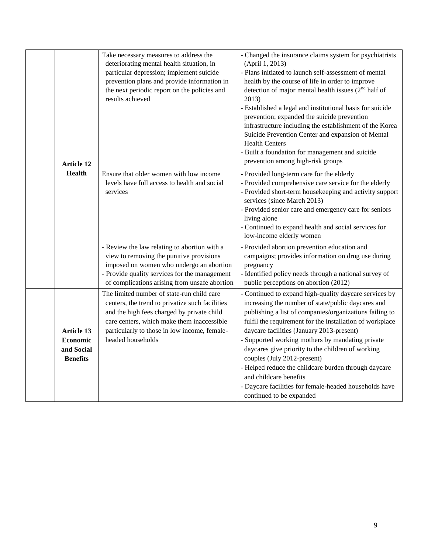|  | <b>Article 12</b><br><b>Health</b>                                    | Take necessary measures to address the<br>deteriorating mental health situation, in<br>particular depression; implement suicide<br>prevention plans and provide information in<br>the next periodic report on the policies and<br>results achieved             | - Changed the insurance claims system for psychiatrists<br>(April 1, 2013)<br>- Plans initiated to launch self-assessment of mental<br>health by the course of life in order to improve<br>detection of major mental health issues $(2nd$ half of<br>2013)<br>- Established a legal and institutional basis for suicide<br>prevention; expanded the suicide prevention<br>infrastructure including the establishment of the Korea<br>Suicide Prevention Center and expansion of Mental<br><b>Health Centers</b><br>- Built a foundation for management and suicide<br>prevention among high-risk groups |
|--|-----------------------------------------------------------------------|----------------------------------------------------------------------------------------------------------------------------------------------------------------------------------------------------------------------------------------------------------------|---------------------------------------------------------------------------------------------------------------------------------------------------------------------------------------------------------------------------------------------------------------------------------------------------------------------------------------------------------------------------------------------------------------------------------------------------------------------------------------------------------------------------------------------------------------------------------------------------------|
|  |                                                                       | Ensure that older women with low income<br>levels have full access to health and social<br>services                                                                                                                                                            | - Provided long-term care for the elderly<br>- Provided comprehensive care service for the elderly<br>- Provided short-term housekeeping and activity support<br>services (since March 2013)<br>- Provided senior care and emergency care for seniors<br>living alone<br>- Continued to expand health and social services for<br>low-income elderly women                                                                                                                                                                                                                                               |
|  |                                                                       | - Review the law relating to abortion with a<br>view to removing the punitive provisions<br>imposed on women who undergo an abortion<br>- Provide quality services for the management<br>of complications arising from unsafe abortion                         | - Provided abortion prevention education and<br>campaigns; provides information on drug use during<br>pregnancy<br>- Identified policy needs through a national survey of<br>public perceptions on abortion (2012)                                                                                                                                                                                                                                                                                                                                                                                      |
|  | <b>Article 13</b><br><b>Economic</b><br>and Social<br><b>Benefits</b> | The limited number of state-run child care<br>centers, the trend to privatize such facilities<br>and the high fees charged by private child<br>care centers, which make them inaccessible<br>particularly to those in low income, female-<br>headed households | - Continued to expand high-quality daycare services by<br>increasing the number of state/public daycares and<br>publishing a list of companies/organizations failing to<br>fulfil the requirement for the installation of workplace<br>daycare facilities (January 2013-present)<br>- Supported working mothers by mandating private<br>daycares give priority to the children of working<br>couples (July 2012-present)<br>- Helped reduce the childcare burden through daycare<br>and childcare benefits<br>- Daycare facilities for female-headed households have<br>continued to be expanded        |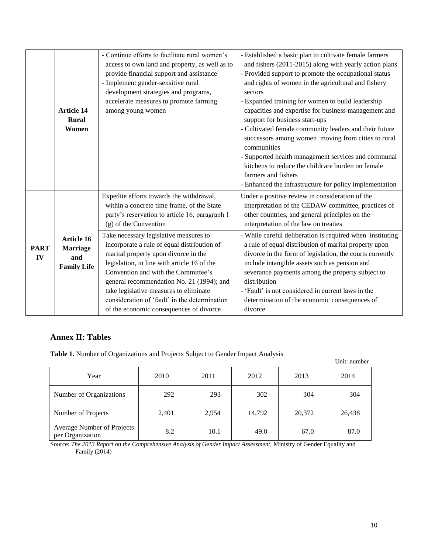|                   | <b>Article 14</b><br>Rural<br>Women                               | - Continue efforts to facilitate rural women's<br>access to own land and property, as well as to<br>provide financial support and assistance<br>- Implement gender-sensitive rural<br>development strategies and programs,<br>accelerate measures to promote farming<br>among young women                                                                                                | - Established a basic plan to cultivate female farmers<br>and fishers (2011-2015) along with yearly action plans<br>- Provided support to promote the occupational status<br>and rights of women in the agricultural and fishery<br>sectors<br>- Expanded training for women to build leadership<br>capacities and expertise for business management and<br>support for business start-ups<br>- Cultivated female community leaders and their future<br>successors among women moving from cities to rural<br>communities<br>- Supported health management services and communal<br>kitchens to reduce the childcare burden on female<br>farmers and fishers<br>- Enhanced the infrastructure for policy implementation |
|-------------------|-------------------------------------------------------------------|------------------------------------------------------------------------------------------------------------------------------------------------------------------------------------------------------------------------------------------------------------------------------------------------------------------------------------------------------------------------------------------|-------------------------------------------------------------------------------------------------------------------------------------------------------------------------------------------------------------------------------------------------------------------------------------------------------------------------------------------------------------------------------------------------------------------------------------------------------------------------------------------------------------------------------------------------------------------------------------------------------------------------------------------------------------------------------------------------------------------------|
| <b>PART</b><br>IV | <b>Article 16</b><br><b>Marriage</b><br>and<br><b>Family Life</b> | Expedite efforts towards the withdrawal,<br>within a concrete time frame, of the State<br>party's reservation to article 16, paragraph 1<br>(g) of the Convention<br>Take necessary legislative measures to<br>incorporate a rule of equal distribution of<br>marital property upon divorce in the<br>legislation, in line with article 16 of the<br>Convention and with the Committee's | Under a positive review in consideration of the<br>interpretation of the CEDAW committee, practices of<br>other countries, and general principles on the<br>interpretation of the law on treaties<br>- While careful deliberation is required when instituting<br>a rule of equal distribution of marital property upon<br>divorce in the form of legislation, the courts currently<br>include intangible assets such as pension and<br>severance payments among the property subject to                                                                                                                                                                                                                                |
|                   |                                                                   | general recommendation No. 21 (1994); and<br>take legislative measures to eliminate<br>consideration of 'fault' in the determination<br>of the economic consequences of divorce                                                                                                                                                                                                          | distribution<br>- 'Fault' is not considered in current laws in the<br>determination of the economic consequences of<br>divorce                                                                                                                                                                                                                                                                                                                                                                                                                                                                                                                                                                                          |

## **Annex II: Tables**

**Table 1.** Number of Organizations and Projects Subject to Gender Impact Analysis

| <b>rapic 1.</b> Funnoce of Organizations and I rojects bubject to dender impact fund ysis |       |       |        |        | Unit: number |
|-------------------------------------------------------------------------------------------|-------|-------|--------|--------|--------------|
| Year                                                                                      | 2010  | 2011  | 2012   | 2013   | 2014         |
| Number of Organizations                                                                   | 292   | 293   | 302    | 304    | 304          |
| Number of Projects                                                                        | 2,401 | 2,954 | 14,792 | 20,372 | 26,438       |
| Average Number of Projects<br>per Organization                                            | 8.2   | 10.1  | 49.0   | 67.0   | 87.0         |

Source: *The 2013 Report on the Comprehensive Analysis of Gender Impact Assessment*, Ministry of Gender Equality and Family (2014)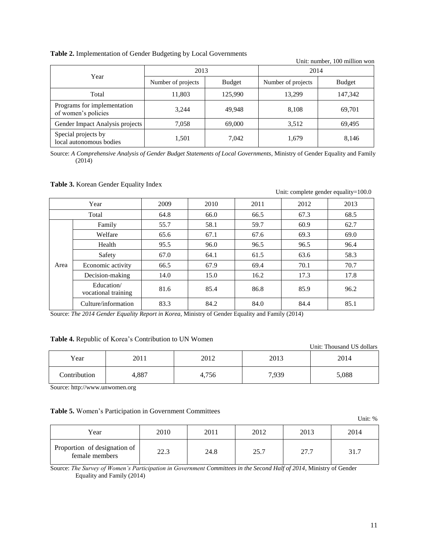#### **Table 2.** Implementation of Gender Budgeting by Local Governments

| Unit: number, 100 million won                      |                    |               |                    |               |  |
|----------------------------------------------------|--------------------|---------------|--------------------|---------------|--|
|                                                    | 2013               |               | 2014               |               |  |
| Year                                               | Number of projects | <b>Budget</b> | Number of projects | <b>Budget</b> |  |
| Total                                              | 11,803             | 125,990       | 13.299             | 147,342       |  |
| Programs for implementation<br>of women's policies | 3.244              | 49,948        | 8,108              | 69,701        |  |
| Gender Impact Analysis projects                    | 7.058              | 69,000        | 3,512              | 69.495        |  |
| Special projects by<br>local autonomous bodies     | 1,501              | 7,042         | 1,679              | 8,146         |  |

Source: *A Comprehensive Analysis of Gender Budget Statements of Local Governments*, Ministry of Gender Equality and Family (2014)

#### **Table 3.** Korean Gender Equality Index

|      |                                   |      |      |      | Unit: complete gender equality=100.0 |      |
|------|-----------------------------------|------|------|------|--------------------------------------|------|
|      | Year                              | 2009 | 2010 | 2011 | 2012                                 | 2013 |
|      | Total                             | 64.8 | 66.0 | 66.5 | 67.3                                 | 68.5 |
|      | Family                            | 55.7 | 58.1 | 59.7 | 60.9                                 | 62.7 |
|      | Welfare                           | 65.6 | 67.1 | 67.6 | 69.3                                 | 69.0 |
|      | Health                            | 95.5 | 96.0 | 96.5 | 96.5                                 | 96.4 |
|      | Safety                            | 67.0 | 64.1 | 61.5 | 63.6                                 | 58.3 |
| Area | Economic activity                 | 66.5 | 67.9 | 69.4 | 70.1                                 | 70.7 |
|      | Decision-making                   | 14.0 | 15.0 | 16.2 | 17.3                                 | 17.8 |
|      | Education/<br>vocational training | 81.6 | 85.4 | 86.8 | 85.9                                 | 96.2 |
|      | Culture/information               | 83.3 | 84.2 | 84.0 | 84.4                                 | 85.1 |

Source: *The 2014 Gender Equality Report in Korea*, Ministry of Gender Equality and Family (2014)

#### **Table 4.** Republic of Korea's Contribution to UN Women

|              |       |       |       | Unit: Thousand US dollars |
|--------------|-------|-------|-------|---------------------------|
| Year         | 2011  | 2012  | 2013  | 2014                      |
| Contribution | 4,887 | 4,756 | 7,939 | 5,088                     |

Source[: http://www.unwomen.org](http://www.unwomen.org/)

#### **Table 5.** Women's Participation in Government Committees

Unit: % Year | 2010 | 2011 | 2012 | 2013 | 2014 Proportion of designation of female members 22.3 24.8 25.7 27.7 31.7

Source: *The Survey of Women's Participation in Government Committees in the Second Half of 2014*, Ministry of Gender Equality and Family (2014)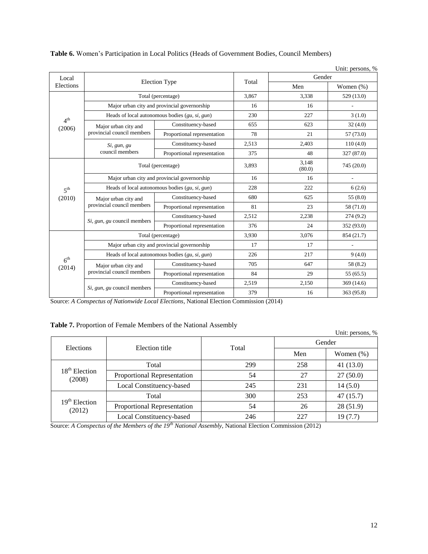|                           |                                                            |                                                  |                 |                          | Unit: persons, %         |
|---------------------------|------------------------------------------------------------|--------------------------------------------------|-----------------|--------------------------|--------------------------|
| Local                     |                                                            |                                                  | Total           | Gender                   |                          |
| Elections                 |                                                            | <b>Election Type</b>                             |                 | Men                      | Women (%)                |
|                           | Total (percentage)                                         | 3,867                                            | 3,338           | 529 (13.0)               |                          |
|                           |                                                            | Major urban city and provincial governorship     | 16              | 16                       |                          |
|                           |                                                            | Heads of local autonomous bodies $(gu, si, gun)$ | 230             | 227                      | 3(1.0)                   |
| 4 <sup>th</sup><br>(2006) | Major urban city and                                       | Constituency-based                               | 655             | 623                      | 32(4.0)                  |
|                           | provincial council members                                 | Proportional representation                      | 78              | 21                       | 57 (73.0)                |
|                           | Si, gun, gu                                                | Constituency-based                               | 2,513           | 2,403                    | 110(4.0)                 |
|                           | council members                                            | Proportional representation                      | 375             | 48                       | 327 (87.0)               |
|                           | Total (percentage)                                         | 3,893                                            | 3,148<br>(80.0) | 745 (20.0)               |                          |
|                           | Major urban city and provincial governorship               | 16                                               | 16              | $\overline{\phantom{a}}$ |                          |
| 5 <sup>th</sup>           | Heads of local autonomous bodies $(gu, si, gun)$           | 228                                              | 222             | 6(2.6)                   |                          |
| (2010)                    | Major urban city and                                       | Constituency-based                               | 680             | 625                      | 55(8.0)                  |
|                           | provincial council members                                 | Proportional representation                      | 81              | 23                       | 58 (71.0)                |
|                           |                                                            | Constituency-based                               | 2,512           | 2,238                    | 274(9.2)                 |
|                           | Si, gun, gu council members                                | Proportional representation                      | 376             | 24                       | 352 (93.0)               |
|                           |                                                            | Total (percentage)                               | 3,930           | 3,076                    | 854 (21.7)               |
|                           |                                                            | Major urban city and provincial governorship     | 17              | 17                       | $\overline{\phantom{a}}$ |
|                           |                                                            | Heads of local autonomous bodies $(gu, si, gun)$ | 226             | 217                      | 9(4.0)                   |
| 6 <sup>th</sup><br>(2014) | Major urban city and                                       | Constituency-based                               | 705             | 647                      | 58 (8.2)                 |
|                           | provincial council members                                 | Proportional representation                      | 84              | 29                       | 55(65.5)                 |
|                           |                                                            | Constituency-based                               | 2,519           | 2,150                    | 369(14.6)                |
|                           | Si, gun, gu council members<br>Proportional representation |                                                  | 379             | 16                       | 363 (95.8)               |

## **Table 6.** Women's Participation in Local Politics (Heads of Government Bodies, Council Members)

Source: *A Conspectus of Nationwide Local Elections*, National Election Commission (2014)

## **Table 7.** Proportion of Female Members of the National Assembly

|                           | $\sim$ which is the position of a chimic risemposity of the a well-met allocation $\eta$ |       |        | Unit: persons, % |  |  |
|---------------------------|------------------------------------------------------------------------------------------|-------|--------|------------------|--|--|
|                           |                                                                                          |       | Gender |                  |  |  |
| Elections                 | Election title                                                                           | Total | Men    | Women $(\%)$     |  |  |
|                           | Total                                                                                    | 299   | 258    | 41(13.0)         |  |  |
| $18th$ Election<br>(2008) | <b>Proportional Representation</b>                                                       | 54    | 27     | 27(50.0)         |  |  |
|                           | Local Constituency-based                                                                 | 245   | 231    | 14(5.0)          |  |  |
|                           | Total                                                                                    | 300   | 253    | 47(15.7)         |  |  |
| $19th$ Election<br>(2012) | <b>Proportional Representation</b>                                                       | 54    | 26     | 28(51.9)         |  |  |
|                           | Local Constituency-based                                                                 | 246   | 227    | 19(7.7)          |  |  |

Source: *A Conspectus of the Members of the 19th National Assembly*, National Election Commission (2012)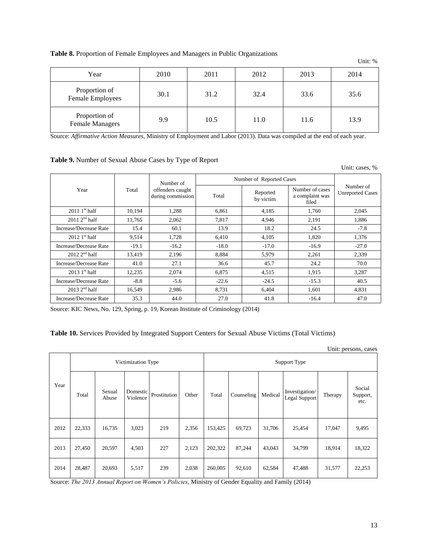## **Table 8.** Proportion of Female Employees and Managers in Public Organizations

| Year                                    | 2010 | 2011 | 2012 | 2013 | 2014 |
|-----------------------------------------|------|------|------|------|------|
| Proportion of<br>Female Employees       | 30.1 | 31.2 | 32.4 | 33.6 | 35.6 |
| Proportion of<br><b>Female Managers</b> | 9.9  | 10.5 | 11.0 | 11.6 | 13.9 |

Source: *Affirmative Action Measures*, Ministry of Employment and Labor (2013). Data was compiled at the end of each year.

## **Table 9.** Number of Sexual Abuse Cases by Type of Report

|                                    |         |                                       |         |                          |                                             | Unit: cases, %                       |  |  |
|------------------------------------|---------|---------------------------------------|---------|--------------------------|---------------------------------------------|--------------------------------------|--|--|
|                                    |         | Number of                             |         | Number of Reported Cases |                                             |                                      |  |  |
| Year                               | Total   | offenders caught<br>during commission | Total   | Reported<br>by victim    | Number of cases<br>a complaint was<br>filed | Number of<br><b>Unreported Cases</b> |  |  |
| $20111st$ half                     | 10,194  | 1,288                                 | 6,861   | 4,185                    | 1,760                                       | 2,045                                |  |  |
| $2011 \, 2^{nd}$ half              | 11,765  | 2,062                                 | 7,817   | 4,946                    | 2,191                                       | 1,886                                |  |  |
| Increase/Decrease Rate             | 15.4    | 60.1                                  | 13.9    | 18.2                     | 24.5                                        | $-7.8$                               |  |  |
| $2012$ 1 <sup>st</sup> half        | 9,514   | 1,728                                 | 6,410   | 4,105                    | 1,820                                       | 1,376                                |  |  |
| Increase/Decrease Rate             | $-19.1$ | $-16.2$                               | $-18.0$ | $-17.0$                  | $-16.9$                                     | $-27.0$                              |  |  |
| $2012 \text{ } 2^{\text{nd}}$ half | 13,419  | 2,196                                 | 8,884   | 5,979                    | 2,261                                       | 2,339                                |  |  |
| Increase/Decrease Rate             | 41.0    | 27.1                                  | 36.6    | 45.7                     | 24.2                                        | 70.0                                 |  |  |
| $20131$ <sup>st</sup> half         | 12,235  | 2,074                                 | 6,875   | 4,515                    | 1,915                                       | 3,287                                |  |  |
| Increase/Decrease Rate             | $-8.8$  | $-5.6$                                | $-22.6$ | $-24.5$                  | $-15.3$                                     | 40.5                                 |  |  |
| $2013 \, 2^{nd}$ half              | 16,549  | 2,986                                 | 8,731   | 6,404                    | 1,601                                       | 4,831                                |  |  |
| Increase/Decrease Rate             | 35.3    | 44.0                                  | 27.0    | 41.8                     | $-16.4$                                     | 47.0                                 |  |  |

Source: KIC News, No. 129, Spring, p. 19, Korean Institute of Criminology (2014)

## **Table 10.** Services Provided by Integrated Support Centers for Sexual Abuse Victims (Total Victims)

|      | Unit: persons, cases |                    |                      |              |       |         |              |         |                                 |         |                            |
|------|----------------------|--------------------|----------------------|--------------|-------|---------|--------------|---------|---------------------------------|---------|----------------------------|
|      |                      | Victimization Type |                      |              |       |         | Support Type |         |                                 |         |                            |
| Year | Total                | Sexual<br>Abuse    | Domestic<br>Violence | Prostitution | Other | Total   | Counseling   | Medical | Investigation/<br>Legal Support | Therapy | Social<br>Support,<br>etc. |
| 2012 | 22,333               | 16,735             | 3,023                | 219          | 2,356 | 153,425 | 69,723       | 31,706  | 25,454                          | 17,047  | 9,495                      |
| 2013 | 27,450               | 20,597             | 4,503                | 227          | 2,123 | 202,322 | 87,244       | 43,043  | 34,799                          | 18,914  | 18,322                     |
| 2014 | 28,487               | 20,693             | 5,517                | 239          | 2,038 | 260,005 | 92,610       | 62,584  | 47,488                          | 31,577  | 22,253                     |

Source: *The 2013 Annual Report on Women's Policies*, Ministry of Gender Equality and Family (2014)

Unit: %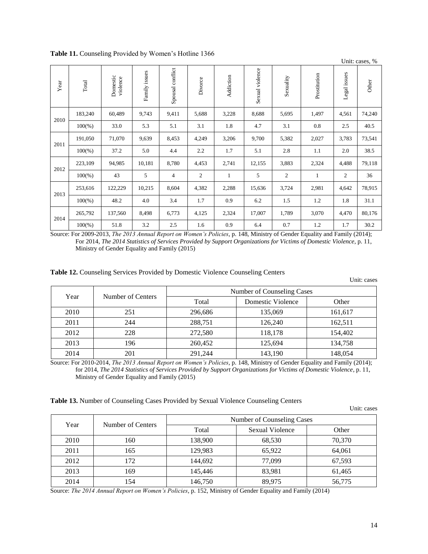|                                                                                                                           |           |                                                                                                                                                                       |               |                  |                  |              |                        |                            |                                                                                                                                                                                                                                                   | Unit: cases, %  |             |
|---------------------------------------------------------------------------------------------------------------------------|-----------|-----------------------------------------------------------------------------------------------------------------------------------------------------------------------|---------------|------------------|------------------|--------------|------------------------|----------------------------|---------------------------------------------------------------------------------------------------------------------------------------------------------------------------------------------------------------------------------------------------|-----------------|-------------|
| Year                                                                                                                      | Total     | Domestic<br>violence                                                                                                                                                  | Family issues | Spousal conflict | Divorce          | Addiction    | Sexual violence        | Sexuality                  | Prostitution                                                                                                                                                                                                                                      | Legal issues    | Other       |
|                                                                                                                           | 183,240   | 60,489                                                                                                                                                                | 9,743         | 9,411            | 5,688            | 3,228        | 8,688                  | 5,695                      | 1,497                                                                                                                                                                                                                                             | 4,561           | 74,240      |
| 2010                                                                                                                      | $100\%$ ) | 33.0                                                                                                                                                                  | 5.3           | 5.1              | 3.1              | 1.8          | 4.7                    | 3.1                        | 0.8                                                                                                                                                                                                                                               | 2.5             | 40.5        |
| 2011                                                                                                                      | 191,050   | 71,070                                                                                                                                                                | 9,639         | 8,453            | 4,249            | 3,206        | 9,700                  | 5,382                      | 2,027                                                                                                                                                                                                                                             | 3,783           | 73,541      |
|                                                                                                                           | $100\%$ ) | 37.2                                                                                                                                                                  | 5.0           | 4.4              | 2.2              | 1.7          | 5.1                    | 2.8                        | 1.1                                                                                                                                                                                                                                               | 2.0             | 38.5        |
| 2012                                                                                                                      | 223,109   | 94,985                                                                                                                                                                | 10,181        | 8,780            | 4,453            | 2,741        | 12,155                 | 3,883                      | 2,324                                                                                                                                                                                                                                             | 4,488           | 79,118      |
|                                                                                                                           | $100\%$ ) | 43                                                                                                                                                                    | 5             | $\overline{4}$   | 2                | $\mathbf{1}$ | 5                      | $\overline{2}$             | $\mathbf{1}$                                                                                                                                                                                                                                      | $\mathfrak{2}$  | 36          |
|                                                                                                                           | 253,616   | 122,229                                                                                                                                                               | 10,215        | 8,604            | 4,382            | 2,288        | 15,636                 | 3,724                      | 2,981                                                                                                                                                                                                                                             | 4,642           | 78,915      |
| 2013                                                                                                                      | $100\%$ ) | 48.2                                                                                                                                                                  | 4.0           | 3.4              | 1.7              | 0.9          | 6.2                    | 1.5                        | 1.2                                                                                                                                                                                                                                               | 1.8             | 31.1        |
|                                                                                                                           | 265,792   | 137,560                                                                                                                                                               | 8,498         | 6,773            | 4,125            | 2,324        | 17,007                 | 1,789                      | 3,070                                                                                                                                                                                                                                             | 4,470           | 80,176      |
| 2014                                                                                                                      | $100\%$ ) | 51.8                                                                                                                                                                  | $3.2\,$       | 2.5              | 1.6              | 0.9          | 6.4                    | 0.7                        | 1.2                                                                                                                                                                                                                                               | 1.7             | 30.2        |
| Source: For 2009-2013, The 2013 Annual Report on Women's Policies, p. 148, Ministry of Gender Equality and Family (2014); |           | For 2014, The 2014 Statistics of Services Provided by Support Organizations for Victims of Domestic Violence, p. 11,<br>Ministry of Gender Equality and Family (2015) |               |                  |                  |              |                        |                            |                                                                                                                                                                                                                                                   |                 |             |
|                                                                                                                           |           | Table 12. Counseling Services Provided by Domestic Violence Counseling Centers                                                                                        |               |                  |                  |              |                        |                            |                                                                                                                                                                                                                                                   |                 | Unit: cases |
|                                                                                                                           | Year      | Number of Centers                                                                                                                                                     |               |                  | Total            |              | Domestic Violence      | Number of Counseling Cases |                                                                                                                                                                                                                                                   | Other           |             |
|                                                                                                                           | 2010      | 251                                                                                                                                                                   |               |                  | 296,686          |              | 135,069                |                            |                                                                                                                                                                                                                                                   | 161,617         |             |
|                                                                                                                           | 2011      | 244                                                                                                                                                                   |               |                  | 288,751          |              | 126,240                |                            |                                                                                                                                                                                                                                                   | 162,511         |             |
|                                                                                                                           | 2012      | 228                                                                                                                                                                   |               |                  | 272,580          |              | 118,178                |                            |                                                                                                                                                                                                                                                   | 154,402         |             |
|                                                                                                                           | 2013      | 196                                                                                                                                                                   |               |                  | 260,452          |              | 125,694                |                            |                                                                                                                                                                                                                                                   | 134,758         |             |
|                                                                                                                           | 2014      | 201<br>Ministry of Gender Equality and Family (2015)<br>Table 13. Number of Counseling Cases Provided by Sexual Violence Counseling Centers                           |               |                  | 291,244          |              | 143,190                |                            | Source: For 2010-2014, The 2013 Annual Report on Women's Policies, p. 148, Ministry of Gender Equality and Family (2014);<br>for 2014, The 2014 Statistics of Services Provided by Support Organizations for Victims of Domestic Violence, p. 11, | 148,054         |             |
|                                                                                                                           |           |                                                                                                                                                                       |               |                  |                  |              |                        |                            |                                                                                                                                                                                                                                                   |                 | Unit: cases |
|                                                                                                                           | Year      | Number of Centers                                                                                                                                                     |               |                  |                  |              |                        | Number of Counseling Cases |                                                                                                                                                                                                                                                   |                 |             |
|                                                                                                                           | 2010      | 160                                                                                                                                                                   |               |                  | Total<br>138,900 |              | <b>Sexual Violence</b> |                            |                                                                                                                                                                                                                                                   | Other<br>70,370 |             |
|                                                                                                                           | 2011      | 165                                                                                                                                                                   |               |                  | 129,983          |              | 68,530<br>65,922       |                            |                                                                                                                                                                                                                                                   | 64,061          |             |
|                                                                                                                           | 2012      | 172                                                                                                                                                                   |               |                  | 144,692          |              | 77,099                 |                            |                                                                                                                                                                                                                                                   | 67,593          |             |
|                                                                                                                           | 2013      | 169                                                                                                                                                                   |               |                  | 145,446          |              | 83,981                 |                            |                                                                                                                                                                                                                                                   | 61,465          |             |

**Table 11.** Counseling Provided by Women's Hotline 1366

|      |                   |                            |                   | Unit: cases |  |  |  |
|------|-------------------|----------------------------|-------------------|-------------|--|--|--|
| Year | Number of Centers | Number of Counseling Cases |                   |             |  |  |  |
|      |                   | Total                      | Domestic Violence | Other       |  |  |  |
| 2010 | 251               | 296,686                    | 135,069           | 161,617     |  |  |  |
| 2011 | 244               | 288,751                    | 126,240           | 162,511     |  |  |  |
| 2012 | 228               | 272,580                    | 118,178           | 154,402     |  |  |  |
| 2013 | 196               | 260,452                    | 125,694           | 134,758     |  |  |  |
| 2014 | 201               | 291,244                    | 143,190           | 148,054     |  |  |  |

|  |  |  |  |  | Table 13. Number of Counseling Cases Provided by Sexual Violence Counseling Centers |  |
|--|--|--|--|--|-------------------------------------------------------------------------------------|--|
|  |  |  |  |  |                                                                                     |  |

| Year | Number of Centers | Number of Counseling Cases |                 |        |  |  |  |
|------|-------------------|----------------------------|-----------------|--------|--|--|--|
|      |                   | Total                      | Sexual Violence | Other  |  |  |  |
| 2010 | 160               | 138,900                    | 68,530          | 70,370 |  |  |  |
| 2011 | 165               | 129.983                    | 65.922          | 64.061 |  |  |  |
| 2012 | 172               | 144.692                    | 77.099          | 67,593 |  |  |  |
| 2013 | 169               | 145.446                    | 83,981          | 61,465 |  |  |  |
| 2014 | 154               | 146,750                    | 89,975          | 56,775 |  |  |  |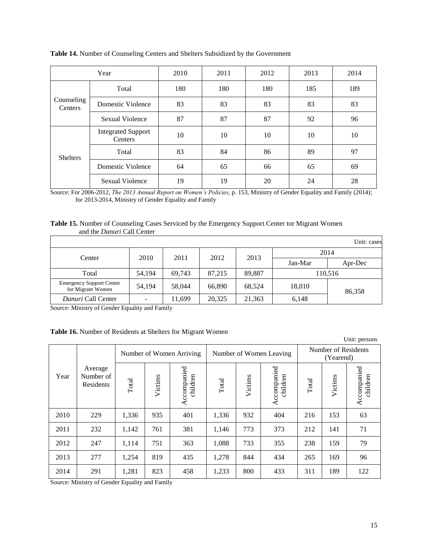|                              | Year                                 | 2010 | 2011 | 2012 | 2013 | 2014 |
|------------------------------|--------------------------------------|------|------|------|------|------|
|                              | Total                                | 180  | 180  | 180  | 185  | 189  |
| Counseling<br><b>Centers</b> | Domestic Violence                    | 83   | 83   | 83   | 83   | 83   |
|                              | Sexual Violence                      | 87   | 87   | 87   | 92   | 96   |
|                              | <b>Integrated Support</b><br>Centers | 10   | 10   | 10   | 10   | 10   |
| <b>Shelters</b>              | Total                                | 83   | 84   | 86   | 89   | 97   |
|                              | Domestic Violence                    | 64   | 65   | 66   | 65   | 69   |
|                              | Sexual Violence                      | 19   | 19   | 20   | 24   | 28   |

**Table 14.** Number of Counseling Centers and Shelters Subsidized by the Government

Source: For 2006-2012, *The 2013 Annual Report on Women's Policies*, p. 153, Ministry of Gender Equality and Family (2014); for 2013-2014, Ministry of Gender Equality and Family

#### **Table 15.** Number of Counseling Cases Serviced by the Emergency Support Center tor Migrant Women and the *Danuri* Call Center

|                                                      |              |        |        |         |         | Unit: cases |  |
|------------------------------------------------------|--------------|--------|--------|---------|---------|-------------|--|
| Center                                               | 2011<br>2010 |        | 2012   | 2013    | 2014    |             |  |
|                                                      |              |        |        | Jan-Mar | Apr-Dec |             |  |
| Total                                                | 54,194       | 69,743 | 87,215 | 89,887  |         | 110,516     |  |
| <b>Emergency Support Center</b><br>for Migrant Women | 54,194       | 58,044 | 66,890 | 68,524  | 18,010  | 86,358      |  |
| Danuri Call Center                                   |              | 11,699 | 20,325 | 21,363  | 6,148   |             |  |

Source: Ministry of Gender Equality and Family

| <b>Table 16.</b> Number of Residents at Shelters for Migrant Women |  |
|--------------------------------------------------------------------|--|
|--------------------------------------------------------------------|--|

|      |                                   |                                       |                                    |     |       |         |                         |       |                                  | Unit: persons           |  |  |
|------|-----------------------------------|---------------------------------------|------------------------------------|-----|-------|---------|-------------------------|-------|----------------------------------|-------------------------|--|--|
|      |                                   | Number of Women Arriving              |                                    |     |       |         | Number of Women Leaving |       | Number of Residents<br>(Yearend) |                         |  |  |
| Year | Average<br>Number of<br>Residents | Total                                 | Accompanied<br>children<br>Victims |     | Total | Victims | Accompanied<br>children | Total | Victims                          | Accompanied<br>children |  |  |
| 2010 | 229                               | 1,336                                 | 935                                | 401 | 1,336 | 932     | 404                     | 216   | 153                              | 63                      |  |  |
| 2011 | 232                               | 1,142                                 | 761                                | 381 | 1,146 | 773     | 373                     | 212   | 141                              | 71                      |  |  |
| 2012 | 247                               | 1,114                                 | 751                                | 363 | 1,088 | 733     | 355                     | 238   | 159                              | 79                      |  |  |
| 2013 | 277                               | 1,254                                 | 819                                | 435 | 1,278 | 844     | 434                     | 265   | 169                              | 96                      |  |  |
| 2014 | 291<br>$\cdots$<br>$\sim$ $\sim$  | 1,281<br>$\mathbf{r}$<br>$\mathbf{u}$ | 823<br>$\mathbf{r}$                | 458 | 1,233 | 800     | 433                     | 311   | 189                              | 122                     |  |  |

Source: Ministry of Gender Equality and Family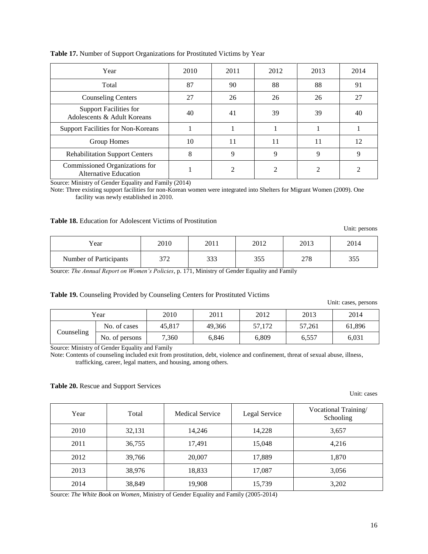| Year                                                           | 2010 | 2011 | 2012 | 2013 | 2014 |
|----------------------------------------------------------------|------|------|------|------|------|
| Total                                                          | 87   | 90   | 88   | 88   | 91   |
| <b>Counseling Centers</b>                                      | 27   | 26   | 26   | 26   | 27   |
| <b>Support Facilities for</b><br>Adolescents & Adult Koreans   | 40   | 41   | 39   | 39   | 40   |
| Support Facilities for Non-Koreans                             |      |      |      |      |      |
| Group Homes                                                    | 10   | 11   | 11   | 11   | 12   |
| <b>Rehabilitation Support Centers</b>                          | 8    | 9    | 9    | 9    | 9    |
| Commissioned Organizations for<br><b>Alternative Education</b> |      |      |      |      |      |

**Table 17.** Number of Support Organizations for Prostituted Victims by Year

Source: Ministry of Gender Equality and Family (2014)

Note: Three existing support facilities for non-Korean women were integrated into Shelters for Migrant Women (2009). One facility was newly established in 2010.

#### **Table 18.** Education for Adolescent Victims of Prostitution

Unit: persons Year | 2010 | 2011 | 2012 | 2013 | 2014 Number of Participants | 372 | 333 | 355 | 278 | 355

Source: *The Annual Report on Women's Policies*, p. 171, Ministry of Gender Equality and Family

#### **Table 19.** Counseling Provided by Counseling Centers for Prostituted Victims

Unit: cases, persons

| Year       |                | 2010   | 2011  | 2012   | 2013   | 2014   |
|------------|----------------|--------|-------|--------|--------|--------|
|            | No. of cases   | 45,817 |       | 57,172 | 57,261 | 61,896 |
| Counseling | No. of persons | 7,360  | 6.846 | 6,809  | 6,557  | 6,031  |

Source: Ministry of Gender Equality and Family

Note: Contents of counseling included exit from prostitution, debt, violence and confinement, threat of sexual abuse, illness, trafficking, career, legal matters, and housing, among others.

#### **Table 20.** Rescue and Support Services

Unit: cases

| Year | Total  | <b>Medical Service</b> | Legal Service | Vocational Training/<br>Schooling |
|------|--------|------------------------|---------------|-----------------------------------|
| 2010 | 32,131 | 14,246                 | 14,228        | 3,657                             |
| 2011 | 36,755 | 17,491                 | 15,048        | 4.216                             |
| 2012 | 39,766 | 20,007                 | 17,889        | 1,870                             |
| 2013 | 38,976 | 18,833                 | 17,087        | 3,056                             |
| 2014 | 38,849 | 19,908                 | 15,739        | 3,202                             |

Source: *The White Book on Women*, Ministry of Gender Equality and Family (2005-2014)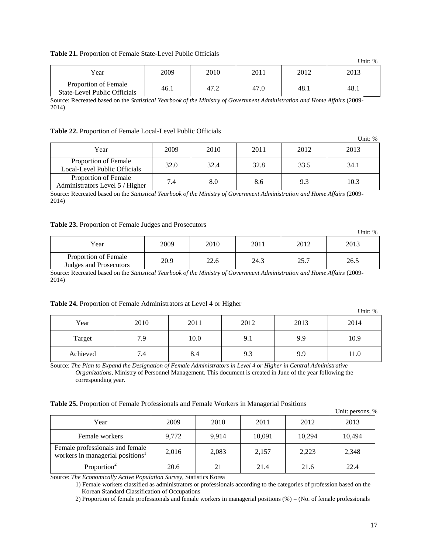#### **Table 21.** Proportion of Female State-Level Public Officials

|                                                      |      |      |      |      | $\cup$ interve |
|------------------------------------------------------|------|------|------|------|----------------|
| Year                                                 | 2009 | 2010 | 2011 | 2012 | 2013           |
| Proportion of Female<br>State-Level Public Officials | 46.1 | 47.2 | 47.0 | 48.1 | 48.1           |

Source: Recreated based on the *Statistical Yearbook of the Ministry of Government Administration and Home Affairs* (2009- 2014)

#### **Table 22.** Proportion of Female Local-Level Public Officials

|                                                         |      |      |      |      | $\cup$ multiple |
|---------------------------------------------------------|------|------|------|------|-----------------|
| Year                                                    | 2009 | 2010 | 2011 | 2012 | 2013            |
| Proportion of Female<br>Local-Level Public Officials    | 32.0 | 32.4 | 32.8 | 33.5 | 34.1            |
| Proportion of Female<br>Administrators Level 5 / Higher | 7.4  | 8.0  | 8.6  | 9.3  | 10.3            |

Source: Recreated based on the *Statistical Yearbook of the Ministry of Government Administration and Home Affairs* (2009- 2014)

#### **Table 23.** Proportion of Female Judges and Prosecutors

|                                                | $\sim$ |      |      |      | Unit: % |
|------------------------------------------------|--------|------|------|------|---------|
| Year                                           | 2009   | 2010 | 2011 | 2012 | 2013    |
| Proportion of Female<br>Judges and Prosecutors | 20.9   | 22.6 | 24.3 | 25.7 | 26.5    |

Source: Recreated based on the *Statistical Yearbook of the Ministry of Government Administration and Home Affairs* (2009- 2014)

#### **Table 24.** Proportion of Female Administrators at Level 4 or Higher

|          |      |      |      |      | Unit: $\%$ |
|----------|------|------|------|------|------------|
| Year     | 2010 | 2011 | 2012 | 2013 | 2014       |
| Target   | 7.9  | 10.0 | 9.1  | 9.9  | 10.9       |
| Achieved | 7.4  | 8.4  | 9.3  | 9.9  | 11.0       |

Source: *The Plan to Expand the Designation of Female Administrators in Level 4 or Higher in Central Administrative Organizations*, Ministry of Personnel Management. This document is created in June of the year following the corresponding year.

**Table 25.** Proportion of Female Professionals and Female Workers in Managerial Positions

|                                                                                 |       |       |        |        | Unit: persons, % |
|---------------------------------------------------------------------------------|-------|-------|--------|--------|------------------|
| Year                                                                            | 2009  | 2010  | 2011   | 2012   | 2013             |
| Female workers                                                                  | 9,772 | 9,914 | 10,091 | 10,294 | 10,494           |
| Female professionals and female<br>workers in managerial positions <sup>1</sup> | 2,016 | 2,083 | 2,157  | 2,223  | 2,348            |
| Proportion <sup>2</sup>                                                         | 20.6  | 21    | 21.4   | 21.6   | 22.4             |

Source: *The Economically Active Population Survey*, Statistics Korea

1) Female workers classified as administrators or professionals according to the categories of profession based on the Korean Standard Classification of Occupations

2) Proportion of female professionals and female workers in managerial positions (%) = (No. of female professionals

 $\overline{U}$ lnit:  $0/$ 

 $U_{\text{min}}$   $\omega$ 

 $\mathbf{v}$   $\mathbf{v}$   $\mathbf{v}$   $\mathbf{v}$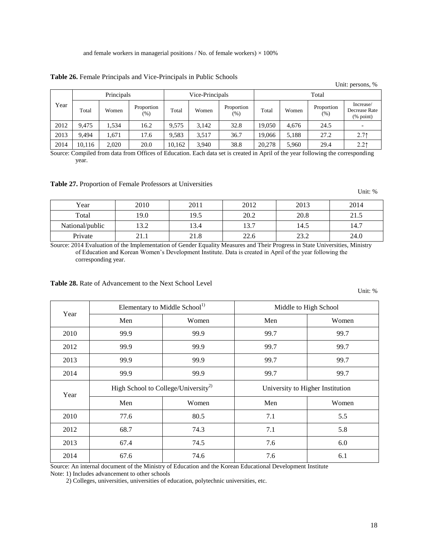**Table 26.** Female Principals and Vice-Principals in Public Schools

|      |            |       |                      |                 |       |                      |        |       |                    | Unit: persons, %                                         |
|------|------------|-------|----------------------|-----------------|-------|----------------------|--------|-------|--------------------|----------------------------------------------------------|
|      | Principals |       |                      | Vice-Principals |       |                      | Total  |       |                    |                                                          |
| Year | Total      | Women | Proportion<br>$(\%)$ | Total           | Women | Proportion<br>$(\%)$ | Total  | Women | Proportion<br>(% ) | Increase/<br>Decrease Rate<br>$(% \mathbf{a})$ (% point) |
| 2012 | 9.475      | 1.534 | 16.2                 | 9.575           | 3.142 | 32.8                 | 19.050 | 4,676 | 24.5               |                                                          |
| 2013 | 9.494      | 1.671 | 17.6                 | 9,583           | 3,517 | 36.7                 | 19.066 | 5,188 | 27.2               | 2.71                                                     |
| 2014 | 10,116     | 2,020 | 20.0                 | 10,162          | 3,940 | 38.8                 | 20,278 | 5,960 | 29.4               | 2.21                                                     |

Source: Compiled from data from Offices of Education. Each data set is created in April of the year following the corresponding year.

**Table 27.** Proportion of Female Professors at Universities

|                 |      |      |      |      | Unit: % |
|-----------------|------|------|------|------|---------|
| Year            | 2010 | 2011 | 2012 | 2013 | 2014    |
| Total           | 19.0 | 19.5 | 20.2 | 20.8 | 21.5    |
| National/public | 13.2 | 13.4 | 13.7 | 14.5 | 14.7    |
| Private         | 21.1 | 21.8 | 22.6 | 23.2 | 24.0    |

Source: 2014 Evaluation of the Implementation of Gender Equality Measures and Their Progress in State Universities, Ministry of Education and Korean Women's Development Institute. Data is created in April of the year following the corresponding year.

#### **Table 28.** Rate of Advancement to the Next School Level

|      | Elementary to Middle School <sup>1)</sup>       |       | Middle to High School |                                  |  |  |
|------|-------------------------------------------------|-------|-----------------------|----------------------------------|--|--|
| Year | Men                                             | Women | Men                   | Women                            |  |  |
| 2010 | 99.9                                            | 99.9  | 99.7                  | 99.7                             |  |  |
| 2012 | 99.9                                            | 99.9  | 99.7                  | 99.7                             |  |  |
| 2013 | 99.9                                            | 99.9  | 99.7                  | 99.7                             |  |  |
| 2014 | 99.9                                            | 99.9  | 99.7                  | 99.7                             |  |  |
|      |                                                 |       |                       |                                  |  |  |
|      | High School to College/University <sup>2)</sup> |       |                       | University to Higher Institution |  |  |
| Year | Men                                             | Women | Men                   | Women                            |  |  |
| 2010 | 77.6                                            | 80.5  | 7.1                   | 5.5                              |  |  |
| 2012 | 68.7                                            | 74.3  | 7.1                   | 5.8                              |  |  |
| 2013 | 67.4                                            | 74.5  | 7.6                   | 6.0                              |  |  |

Source: An internal document of the Ministry of Education and the Korean Educational Development Institute Note: 1) Includes advancement to other schools

2) Colleges, universities, universities of education, polytechnic universities, etc.

18

Unit: %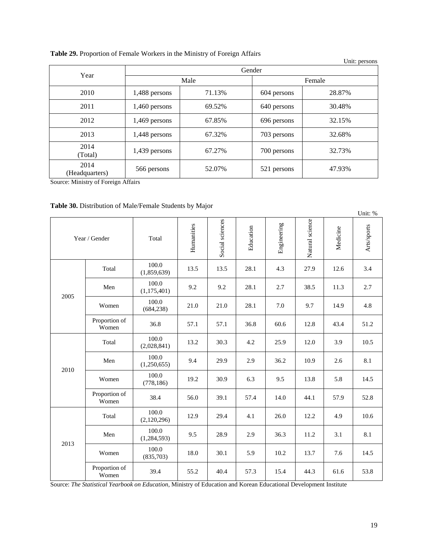| Table 29. Proportion of Female Workers in the Ministry of Foreign Affairs |  |  |  |
|---------------------------------------------------------------------------|--|--|--|
|---------------------------------------------------------------------------|--|--|--|

|                        |                  |        |             | Unit: persons |
|------------------------|------------------|--------|-------------|---------------|
| Year                   |                  |        | Gender      |               |
|                        |                  | Male   |             | Female        |
| 2010                   | 1,488 persons    | 71.13% | 604 persons | 28.87%        |
| 2011                   | 1,460 persons    | 69.52% | 640 persons | 30.48%        |
| 2012                   | 1,469 persons    | 67.85% | 696 persons | 32.15%        |
| 2013                   | 1,448 persons    | 67.32% | 703 persons | 32.68%        |
| 2014<br>(Total)        | 1,439 persons    | 67.27% | 700 persons | 32.73%        |
| 2014<br>(Headquarters) | 566 persons<br>. | 52.07% | 521 persons | 47.93%        |

Source: Ministry of Foreign Affairs

|  |  |  | Table 30. Distribution of Male/Female Students by Major |
|--|--|--|---------------------------------------------------------|
|--|--|--|---------------------------------------------------------|

|      |                        |                        |            |                 |           |             |                 |          | Unit: %     |
|------|------------------------|------------------------|------------|-----------------|-----------|-------------|-----------------|----------|-------------|
|      | Year / Gender          | Total                  | Humanities | Social sciences | Education | Engineering | Natural science | Medicine | Arts/sports |
|      | Total                  | 100.0<br>(1,859,639)   | 13.5       | 13.5            | 28.1      | 4.3         | 27.9            | 12.6     | 3.4         |
| 2005 | Men                    | 100.0<br>(1,175,401)   | 9.2        | 9.2             | 28.1      | 2.7         | 38.5            | 11.3     | 2.7         |
|      | Women                  | 100.0<br>(684, 238)    | 21.0       | 21.0            | 28.1      | 7.0         | 9.7             | 14.9     | 4.8         |
|      | Proportion of<br>Women | 36.8                   | 57.1       | 57.1            | 36.8      | 60.6        | 12.8            | 43.4     | 51.2        |
|      | Total                  | 100.0<br>(2,028,841)   | 13.2       | 30.3            | 4.2       | 25.9        | 12.0            | 3.9      | 10.5        |
| 2010 | Men                    | 100.0<br>(1,250,655)   | 9.4        | 29.9            | 2.9       | 36.2        | 10.9            | 2.6      | 8.1         |
|      | Women                  | 100.0<br>(778, 186)    | 19.2       | 30.9            | 6.3       | 9.5         | 13.8            | 5.8      | 14.5        |
|      | Proportion of<br>Women | 38.4                   | 56.0       | 39.1            | 57.4      | 14.0        | 44.1            | 57.9     | 52.8        |
|      | Total                  | 100.0<br>(2,120,296)   | 12.9       | 29.4            | 4.1       | 26.0        | 12.2            | 4.9      | 10.6        |
| 2013 | Men                    | 100.0<br>(1, 284, 593) | 9.5        | 28.9            | 2.9       | 36.3        | 11.2            | 3.1      | 8.1         |
|      | Women                  | 100.0<br>(835,703)     | 18.0       | 30.1            | 5.9       | 10.2        | 13.7            | 7.6      | 14.5        |
|      | Proportion of<br>Women | 39.4                   | 55.2       | 40.4            | 57.3      | 15.4        | 44.3            | 61.6     | 53.8        |

Source: *The Statistical Yearbook on Education*, Ministry of Education and Korean Educational Development Institute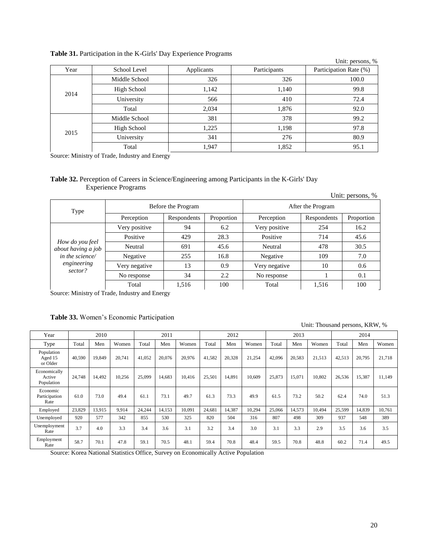|      |               |            |              | Unit: persons, %       |
|------|---------------|------------|--------------|------------------------|
| Year | School Level  | Applicants | Participants | Participation Rate (%) |
|      | Middle School | 326        | 326          | 100.0                  |
| 2014 | High School   | 1,142      | 1,140        | 99.8                   |
|      | University    | 566        | 410          | 72.4                   |
|      | Total         | 2,034      | 1,876        | 92.0                   |
|      | Middle School | 381        | 378          | 99.2                   |
|      | High School   | 1,225      | 1,198        | 97.8                   |
| 2015 | University    | 341        | 276          | 80.9                   |
|      | Total         | 1,947      | 1,852        | 95.1                   |

## **Table 31.** Participation in the K-Girls' Day Experience Programs

Source: Ministry of Trade, Industry and Energy

## **Table 32.** Perception of Careers in Science/Engineering among Participants in the K-Girls' Day Experience Programs

|                                       |               |                    |            |               |                   | Unit: persons, % |
|---------------------------------------|---------------|--------------------|------------|---------------|-------------------|------------------|
| Type                                  |               | Before the Program |            |               | After the Program |                  |
|                                       | Perception    | Respondents        | Proportion | Perception    | Respondents       | Proportion       |
|                                       | Very positive | 94                 | 6.2        | Very positive | 254               | 16.2             |
|                                       | Positive      | 429                | 28.3       | Positive      | 714               | 45.6             |
| How do you feel<br>about having a job | Neutral       | 691                | 45.6       | Neutral       | 478               | 30.5             |
| in the science/                       | Negative      | 255                | 16.8       | Negative      | 109               | 7.0              |
| engineering                           | Very negative | 13                 | 0.9        | Very negative | 10                | 0.6              |
| sector?                               | No response   | 34                 |            | No response   |                   | 0.1              |
|                                       | Total         | 1,516              | 100        | Total         | 1,516             | 100              |

Source: Ministry of Trade, Industry and Energy

## **Table 33.** Women's Economic Participation

Unit: Thousand persons, KRW, %

| Year                                 |        | 2010   |        |        | 2011   |        |        | 2012   |        |        | 2013   |        |        | 2014   |        |
|--------------------------------------|--------|--------|--------|--------|--------|--------|--------|--------|--------|--------|--------|--------|--------|--------|--------|
| Type                                 | Total  | Men    | Women  | Total  | Men    | Women  | Total  | Men    | Women  | Total  | Men    | Women  | Total  | Men    | Women  |
| Population<br>Aged 15<br>or Older    | 40.590 | 19,849 | 20.741 | 41.052 | 20.076 | 20.976 | 41,582 | 20,328 | 21,254 | 42.096 | 20,583 | 21,513 | 42,513 | 20,795 | 21.718 |
| Economically<br>Active<br>Population | 24,748 | 14,492 | 10.256 | 25,099 | 14,683 | 10.416 | 25,501 | 14.891 | 10.609 | 25,873 | 15.071 | 10.802 | 26,536 | 15,387 | 11.149 |
| Economic<br>Participation<br>Rate    | 61.0   | 73.0   | 49.4   | 61.1   | 73.1   | 49.7   | 61.3   | 73.3   | 49.9   | 61.5   | 73.2   | 50.2   | 62.4   | 74.0   | 51.3   |
| Employed                             | 23,829 | 13,915 | 9,914  | 24,244 | 14,153 | 10,091 | 24,681 | 14,387 | 10,294 | 25,066 | 14,573 | 10.494 | 25,599 | 14,839 | 10.761 |
| Unemployed                           | 920    | 577    | 342    | 855    | 530    | 325    | 820    | 504    | 316    | 807    | 498    | 309    | 937    | 548    | 389    |
| Unemployment<br>Rate                 | 3.7    | 4.0    | 3.3    | 3.4    | 3.6    | 3.1    | 3.2    | 3.4    | 3.0    | 3.1    | 3.3    | 2.9    | 3.5    | 3.6    | 3.5    |
| Employment<br>Rate                   | 58.7   | 70.1   | 47.8   | 59.1   | 70.5   | 48.1   | 59.4   | 70.8   | 48.4   | 59.5   | 70.8   | 48.8   | 60.2   | 71.4   | 49.5   |

Source: Korea National Statistics Office, Survey on Economically Active Population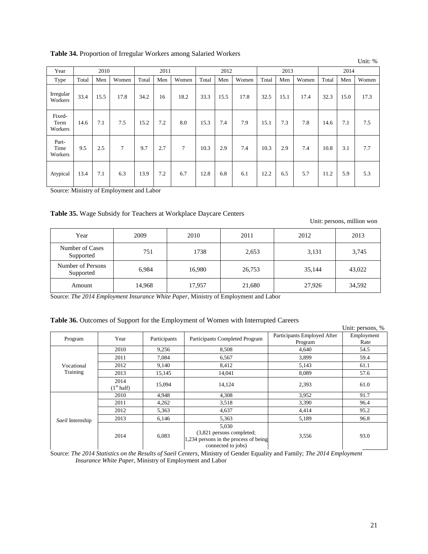**Table 34.** Proportion of Irregular Workers among Salaried Workers

|                           |       |      |        |       |      |        |       |      |       |       |      |       |       |      | Unit: % |
|---------------------------|-------|------|--------|-------|------|--------|-------|------|-------|-------|------|-------|-------|------|---------|
| Year                      |       | 2010 |        |       | 2011 |        |       | 2012 |       |       | 2013 |       |       | 2014 |         |
| Type                      | Total | Men  | Women  | Total | Men  | Women  | Total | Men  | Women | Total | Men  | Women | Total | Men  | Women   |
| Irregular<br>Workers      | 33.4  | 15.5 | 17.8   | 34.2  | 16   | 18.2   | 33.3  | 15.5 | 17.8  | 32.5  | 15.1 | 17.4  | 32.3  | 15.0 | 17.3    |
| Fixed-<br>Term<br>Workers | 14.6  | 7.1  | 7.5    | 15.2  | 7.2  | 8.0    | 15.3  | 7.4  | 7.9   | 15.1  | 7.3  | 7.8   | 14.6  | 7.1  | 7.5     |
| Part-<br>Time<br>Workers  | 9.5   | 2.5  | $\tau$ | 9.7   | 2.7  | $\tau$ | 10.3  | 2.9  | 7.4   | 10.3  | 2.9  | 7.4   | 10.8  | 3.1  | 7.7     |
| Atypical                  | 13.4  | 7.1  | 6.3    | 13.9  | 7.2  | 6.7    | 12.8  | 6.8  | 6.1   | 12.2  | 6.5  | 5.7   | 11.2  | 5.9  | 5.3     |

Source: Ministry of Employment and Labor

## **Table 35.** Wage Subsidy for Teachers at Workplace Daycare Centers

Unit: persons, million won

| Year                           | 2009   | 2010   | 2011   | 2012   | 2013   |
|--------------------------------|--------|--------|--------|--------|--------|
| Number of Cases<br>Supported   | 751    | 1738   | 2,653  | 3,131  | 3,745  |
| Number of Persons<br>Supported | 6,984  | 16,980 | 26,753 | 35,144 | 43,022 |
| Amount                         | 14,968 | 17,957 | 21,680 | 27,926 | 34,592 |

Source: *The 2014 Employment Insurance White Paper*, Ministry of Employment and Labor

| Table 36. Outcomes of Support for the Employment of Women with Interrupted Careers |  |  |  |  |  |  |  |  |
|------------------------------------------------------------------------------------|--|--|--|--|--|--|--|--|
|------------------------------------------------------------------------------------|--|--|--|--|--|--|--|--|

|                  |                                |              |                                                                                                   |                             | Unit: persons, % |
|------------------|--------------------------------|--------------|---------------------------------------------------------------------------------------------------|-----------------------------|------------------|
| Program          | Year                           | Participants | Participants Completed Program                                                                    | Participants Employed After | Employment       |
|                  |                                |              |                                                                                                   | Program                     | Rate             |
|                  | 2010                           | 9,256        | 8,508                                                                                             | 4,640                       | 54.5             |
|                  | 2011                           | 7,084        | 6,567                                                                                             | 3,899                       | 59.4             |
| Vocational       | 2012                           | 9,140        | 8,412                                                                                             | 5,143                       | 61.1             |
| Training         | 2013                           | 15,145       | 14,041                                                                                            | 8.089                       | 57.6             |
|                  | 2014<br>(1 <sup>st</sup> half) | 15,094       | 14,124                                                                                            | 2,393                       | 61.0             |
|                  | 2010                           | 4,948        | 4,308                                                                                             | 3,952                       | 91.7             |
|                  | 2011                           | 4,262        | 3,518                                                                                             | 3,390                       | 96.4             |
|                  | 2012                           | 5,363        | 4,637                                                                                             | 4,414                       | 95.2             |
| Saeil Internship | 2013                           | 6,146        | 5,363                                                                                             | 5,189                       | 96.8             |
|                  | 2014                           | 6,083        | 5,030<br>(3,821 persons completed;<br>1,234 persons in the process of being<br>connected to jobs) | 3,556                       | 93.0             |

Source: *The 2014 Statistics on the Results of Saeil Centers*, Ministry of Gender Equality and Family; *The 2014 Employment Insurance White Paper*, Ministry of Employment and Labor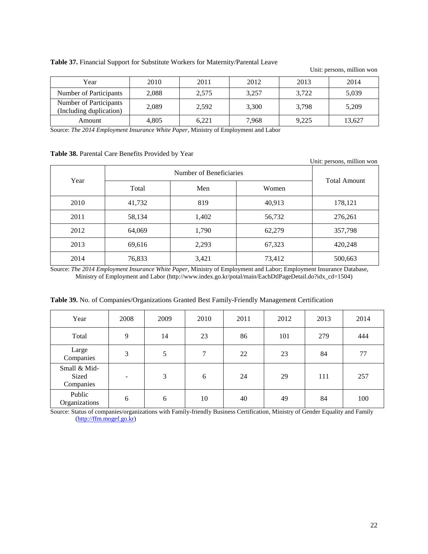| Table 37. Financial Support for Substitute Workers for Maternity/Parental Leave |  |
|---------------------------------------------------------------------------------|--|
|---------------------------------------------------------------------------------|--|

Unit: persons, million won

| Year                                              | 2010  | 2011  | 2012  | 2013  | 2014   |
|---------------------------------------------------|-------|-------|-------|-------|--------|
| Number of Participants                            | 2,088 | 2,575 | 3,257 | 3.722 | 5,039  |
| Number of Participants<br>(Including duplication) | 2,089 | 2,592 | 3,300 | 3.798 | 5,209  |
| Amount                                            | 4,805 | 6.221 | 7,968 | 9,225 | 13.627 |

Source: *The 2014 Employment Insurance White Paper*, Ministry of Employment and Labor

## **Table 38.** Parental Care Benefits Provided by Year

|      |        |                         |        | Unit: persons, million won |  |  |
|------|--------|-------------------------|--------|----------------------------|--|--|
| Year |        | Number of Beneficiaries |        |                            |  |  |
|      | Total  | Men                     | Women  | <b>Total Amount</b>        |  |  |
| 2010 | 41,732 | 819                     | 40,913 | 178,121                    |  |  |
| 2011 | 58,134 | 1,402                   | 56,732 | 276,261                    |  |  |
| 2012 | 64,069 | 1,790                   | 62,279 | 357,798                    |  |  |
| 2013 | 69,616 | 2,293                   | 67,323 | 420,248                    |  |  |
| 2014 | 76,833 | 3,421                   | 73,412 | 500,663                    |  |  |

Source: *The 2014 Employment Insurance White Paper*, Ministry of Employment and Labor; Employment Insurance Database, Ministry of Employment and Labor [\(http://www.index.go.kr/potal/main/EachDtlPageDetail.do?idx\\_cd=1504\)](http://www.index.go.kr/potal/main/EachDtlPageDetail.do?idx_cd=1504)

| Year                               | 2008                     | 2009 | 2010   | 2011 | 2012 | 2013 | 2014 |
|------------------------------------|--------------------------|------|--------|------|------|------|------|
| Total                              | 9                        | 14   | 23     | 86   | 101  | 279  | 444  |
| Large<br>Companies                 | 3                        | 5    | $\tau$ | 22   | 23   | 84   | 77   |
| Small & Mid-<br>Sized<br>Companies | $\overline{\phantom{0}}$ | 3    | 6      | 24   | 29   | 111  | 257  |
| Public<br>Organizations            | 6                        | 6    | 10     | 40   | 49   | 84   | 100  |

**Table 39.** No. of Companies/Organizations Granted Best Family-Friendly Management Certification

Source: Status of companies/organizations with Family-friendly Business Certification, Ministry of Gender Equality and Family [\(http://ffm.mogef.go.kr\)](http://ffm.mogef.go.kr/)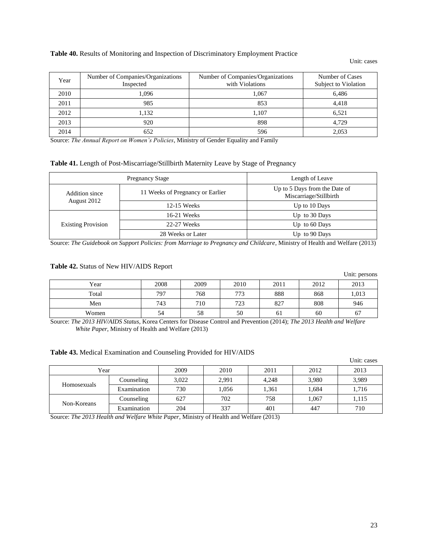#### **Table 40.** Results of Monitoring and Inspection of Discriminatory Employment Practice

#### Unit: cases

 $\mathbf{v}$ 

| Year | Number of Companies/Organizations<br>Inspected | Number of Companies/Organizations<br>with Violations | Number of Cases<br>Subject to Violation |
|------|------------------------------------------------|------------------------------------------------------|-----------------------------------------|
| 2010 | 1.096                                          | 1.067                                                | 6.486                                   |
| 2011 | 985                                            | 853                                                  | 4,418                                   |
| 2012 | 1,132                                          | 1.107                                                | 6.521                                   |
| 2013 | 920                                            | 898                                                  | 4.729                                   |
| 2014 | 652                                            | 596                                                  | 2,053                                   |

Source: *The Annual Report on Women's Policies*, Ministry of Gender Equality and Family

#### **Table 41.** Length of Post-Miscarriage/Stillbirth Maternity Leave by Stage of Pregnancy

|                               | <b>Pregnancy Stage</b>           | Length of Leave                                         |  |
|-------------------------------|----------------------------------|---------------------------------------------------------|--|
| Addition since<br>August 2012 | 11 Weeks of Pregnancy or Earlier | Up to 5 Days from the Date of<br>Miscarriage/Stillbirth |  |
|                               | 12-15 Weeks                      | Up to 10 Days                                           |  |
| <b>Existing Provision</b>     | 16-21 Weeks                      | Up to 30 Days                                           |  |
|                               | 22-27 Weeks                      | Up to $60$ Days                                         |  |
|                               | 28 Weeks or Later                | Up to 90 Days                                           |  |

Source: *The Guidebook on Support Policies: from Marriage to Pregnancy and Childcare*, Ministry of Health and Welfare (2013)

#### **Table 42.** Status of New HIV/AIDS Report

|       |      |      |      |      |      | UIIII: persons |
|-------|------|------|------|------|------|----------------|
| Year  | 2008 | 2009 | 2010 | 2011 | 2012 | 2013           |
| Total | 797  | 768  | 773  | 888  | 868  | 1,013          |
| Men   | 743  | 710  | 723  | 827  | 808  | 946            |
| Women | 54   | 58   | 50   | 61   | 60   | 67             |

Source: *The 2013 HIV/AIDS Status*, Korea Centers for Disease Control and Prevention (2014); *The 2013 Health and Welfare White Paper*, Ministry of Health and Welfare (2013)

#### **Table 43.** Medical Examination and Counseling Provided for HIV/AIDS

|             |             |       |       |       |       | Unit: cases |
|-------------|-------------|-------|-------|-------|-------|-------------|
| Year        |             | 2009  | 2010  | 2011  | 2012  | 2013        |
| Homosexuals | Counseling  | 3,022 | 2,991 | 4,248 | 3,980 | 3,989       |
|             | Examination | 730   | 1,056 | 1,361 | 1,684 | 1,716       |
| Non-Koreans | Counseling  | 627   | 702   | 758   | 1.067 | 1,115       |
|             | Examination | 204   | 337   | 401   | 447   | 710         |

Source: *The 2013 Health and Welfare White Paper*, Ministry of Health and Welfare (2013)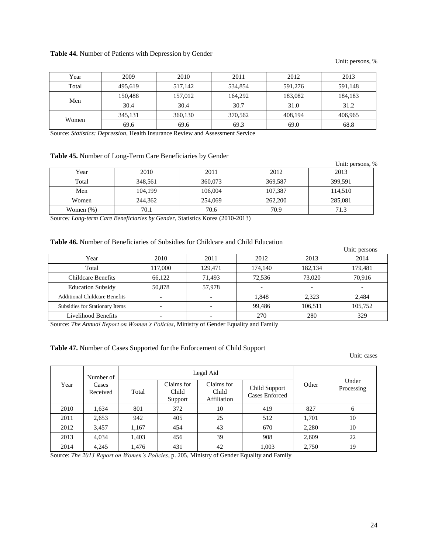#### **Table 44.** Number of Patients with Depression by Gender

Unit: persons, %

| Year  | 2009    | 2010    | 2011    | 2012    | 2013    |
|-------|---------|---------|---------|---------|---------|
| Total | 495.619 | 517.142 | 534,854 | 591,276 | 591.148 |
| Men   | 150.488 | 157.012 | 164.292 | 183,082 | 184,183 |
|       | 30.4    | 30.4    | 30.7    | 31.0    | 31.2    |
| Women | 345.131 | 360,130 | 370.562 | 408.194 | 406.965 |
|       | 69.6    | 69.6    | 69.3    | 69.0    | 68.8    |

Source: *Statistics: Depression*, Health Insurance Review and Assessment Service

#### **Table 45.** Number of Long-Term Care Beneficiaries by Gender

|              | <b>Tuble 40.</b> Funded of Bong Term care Beneficiaties by Generi |         |         | Unit: persons, % |
|--------------|-------------------------------------------------------------------|---------|---------|------------------|
| Year         | 2010                                                              | 2011    | 2012    | 2013             |
| Total        | 348,561                                                           | 360,073 | 369,587 | 399,591          |
| Men          | 104,199                                                           | 106,004 | 107,387 | 114,510          |
| Women        | 244,362                                                           | 254,069 | 262,200 | 285,081          |
| Women $(\%)$ | 70.1                                                              | 70.6    | 70.9    | 71.3             |

Source*: Long-term Care Beneficiaries by Gender*, Statistics Korea (2010-2013)

#### **Table 46.** Number of Beneficiaries of Subsidies for Childcare and Child Education

|                                      |         |         |         |         | Unit: persons |
|--------------------------------------|---------|---------|---------|---------|---------------|
| Year                                 | 2010    | 2011    | 2012    | 2013    | 2014          |
| Total                                | 117,000 | 129,471 | 174,140 | 182.134 | 179,481       |
| <b>Childcare Benefits</b>            | 66.122  | 71.493  | 72,536  | 73,020  | 70.916        |
| <b>Education Subsidy</b>             | 50,878  | 57,978  |         |         |               |
| <b>Additional Childcare Benefits</b> |         |         | 1,848   | 2,323   | 2,484         |
| Subsidies for Stationary Items       |         |         | 99,486  | 106,511 | 105,752       |
| Livelihood Benefits                  |         |         | 270     | 280     | 329           |

Source: *The Annual Report on Women's Policies*, Ministry of Gender Equality and Family

## **Table 47.** Number of Cases Supported for the Enforcement of Child Support

Unit: cases

| Year | Number of<br>Cases<br>Received | Legal Aid |                                |                                    |                                 |       |                     |
|------|--------------------------------|-----------|--------------------------------|------------------------------------|---------------------------------|-------|---------------------|
|      |                                | Total     | Claims for<br>Child<br>Support | Claims for<br>Child<br>Affiliation | Child Support<br>Cases Enforced | Other | Under<br>Processing |
| 2010 | 1,634                          | 801       | 372                            | 10                                 | 419                             | 827   | 6                   |
| 2011 | 2,653                          | 942       | 405                            | 25                                 | 512                             | 1,701 | 10                  |
| 2012 | 3,457                          | 1,167     | 454                            | 43                                 | 670                             | 2,280 | 10                  |
| 2013 | 4,034                          | 1,403     | 456                            | 39                                 | 908                             | 2,609 | 22                  |
| 2014 | 4,245                          | 1,476     | 431                            | 42                                 | 1,003                           | 2,750 | 19                  |

Source: *The 2013 Report on Women's Policies*, p. 205, Ministry of Gender Equality and Family